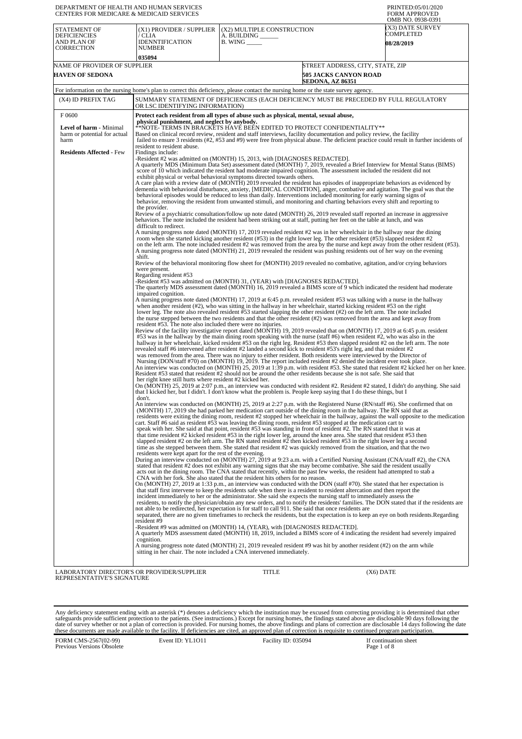| DEPARTMENT OF HEALTH AND HUMAN SERVICES<br>CENTERS FOR MEDICARE & MEDICAID SERVICES                                                                             |                                                                                                                                                                                                                                                                                                                                                                                                                                                      |                                                                                                                                                                                                                                                                                                                                                                                                                                                                                                                                                                                                                                                                                                                                                                                                                                                                                                                                                                                                                                                                                                                                                                                                                                                                                                                                                                                                                                                                                                                                                                                                                                                                                                                                                                                                                                                                                                                                                                                                                                                                                                                                                                                                                                                                                                                                                                                                                                                                                                                                                                                                                                                                                                                                                                                                                                                                                                                                                                                                                                                                                                                                                                                                                                                                                                                                                                                                                                                                                                                                                                                                                                                                                                                                                                                                                                                                                                                                                                                                                                                                                                                                                                                                                                                                                                                                                                                                                                                                                                                                                                                                                                                                                                                                                                                                                                                                                                                                                                                                                                                                                                                                                                                                                                                                                                                                                                                                                                                                                                                                                                                                                                                                                                                                                                                                                                                                                                                                                                                                                                                                                                                                                                                                                                                                                                                                                                                                                                                                                                                                                                                                                                                                                                                                                                                                                                                                                                                                                                                                                                        | PRINTED:05/01/2020<br><b>FORM APPROVED</b><br>OMB NO. 0938-0391 |
|-----------------------------------------------------------------------------------------------------------------------------------------------------------------|------------------------------------------------------------------------------------------------------------------------------------------------------------------------------------------------------------------------------------------------------------------------------------------------------------------------------------------------------------------------------------------------------------------------------------------------------|----------------------------------------------------------------------------------------------------------------------------------------------------------------------------------------------------------------------------------------------------------------------------------------------------------------------------------------------------------------------------------------------------------------------------------------------------------------------------------------------------------------------------------------------------------------------------------------------------------------------------------------------------------------------------------------------------------------------------------------------------------------------------------------------------------------------------------------------------------------------------------------------------------------------------------------------------------------------------------------------------------------------------------------------------------------------------------------------------------------------------------------------------------------------------------------------------------------------------------------------------------------------------------------------------------------------------------------------------------------------------------------------------------------------------------------------------------------------------------------------------------------------------------------------------------------------------------------------------------------------------------------------------------------------------------------------------------------------------------------------------------------------------------------------------------------------------------------------------------------------------------------------------------------------------------------------------------------------------------------------------------------------------------------------------------------------------------------------------------------------------------------------------------------------------------------------------------------------------------------------------------------------------------------------------------------------------------------------------------------------------------------------------------------------------------------------------------------------------------------------------------------------------------------------------------------------------------------------------------------------------------------------------------------------------------------------------------------------------------------------------------------------------------------------------------------------------------------------------------------------------------------------------------------------------------------------------------------------------------------------------------------------------------------------------------------------------------------------------------------------------------------------------------------------------------------------------------------------------------------------------------------------------------------------------------------------------------------------------------------------------------------------------------------------------------------------------------------------------------------------------------------------------------------------------------------------------------------------------------------------------------------------------------------------------------------------------------------------------------------------------------------------------------------------------------------------------------------------------------------------------------------------------------------------------------------------------------------------------------------------------------------------------------------------------------------------------------------------------------------------------------------------------------------------------------------------------------------------------------------------------------------------------------------------------------------------------------------------------------------------------------------------------------------------------------------------------------------------------------------------------------------------------------------------------------------------------------------------------------------------------------------------------------------------------------------------------------------------------------------------------------------------------------------------------------------------------------------------------------------------------------------------------------------------------------------------------------------------------------------------------------------------------------------------------------------------------------------------------------------------------------------------------------------------------------------------------------------------------------------------------------------------------------------------------------------------------------------------------------------------------------------------------------------------------------------------------------------------------------------------------------------------------------------------------------------------------------------------------------------------------------------------------------------------------------------------------------------------------------------------------------------------------------------------------------------------------------------------------------------------------------------------------------------------------------------------------------------------------------------------------------------------------------------------------------------------------------------------------------------------------------------------------------------------------------------------------------------------------------------------------------------------------------------------------------------------------------------------------------------------------------------------------------------------------------------------------------------------------------------------------------------------------------------------------------------------------------------------------------------------------------------------------------------------------------------------------------------------------------------------------------------------------------------------------------------------------------------------------------------------------------------------------------------------------------------------------------------------------------------------------------------------------------------|-----------------------------------------------------------------|
| <b>STATEMENT OF</b><br><b>DEFICIENCIES</b><br>AND PLAN OF<br>CORRECTION                                                                                         | (X1) PROVIDER / SUPPLIER<br>/ CLIA<br><b>IDENNTIFICATION</b><br>NUMBER                                                                                                                                                                                                                                                                                                                                                                               | (X2) MULTIPLE CONSTRUCTION<br>A. BUILDING ______<br><b>B. WING</b>                                                                                                                                                                                                                                                                                                                                                                                                                                                                                                                                                                                                                                                                                                                                                                                                                                                                                                                                                                                                                                                                                                                                                                                                                                                                                                                                                                                                                                                                                                                                                                                                                                                                                                                                                                                                                                                                                                                                                                                                                                                                                                                                                                                                                                                                                                                                                                                                                                                                                                                                                                                                                                                                                                                                                                                                                                                                                                                                                                                                                                                                                                                                                                                                                                                                                                                                                                                                                                                                                                                                                                                                                                                                                                                                                                                                                                                                                                                                                                                                                                                                                                                                                                                                                                                                                                                                                                                                                                                                                                                                                                                                                                                                                                                                                                                                                                                                                                                                                                                                                                                                                                                                                                                                                                                                                                                                                                                                                                                                                                                                                                                                                                                                                                                                                                                                                                                                                                                                                                                                                                                                                                                                                                                                                                                                                                                                                                                                                                                                                                                                                                                                                                                                                                                                                                                                                                                                                                                                                                     | (X3) DATE SURVEY<br>COMPLETED<br><b>08/28/2019</b>              |
| 035094<br>NAME OF PROVIDER OF SUPPLIER<br>STREET ADDRESS, CITY, STATE, ZIP<br><b>HAVEN OF SEDONA</b><br><b>505 JACKS CANYON ROAD</b><br><b>SEDONA, AZ 86351</b> |                                                                                                                                                                                                                                                                                                                                                                                                                                                      |                                                                                                                                                                                                                                                                                                                                                                                                                                                                                                                                                                                                                                                                                                                                                                                                                                                                                                                                                                                                                                                                                                                                                                                                                                                                                                                                                                                                                                                                                                                                                                                                                                                                                                                                                                                                                                                                                                                                                                                                                                                                                                                                                                                                                                                                                                                                                                                                                                                                                                                                                                                                                                                                                                                                                                                                                                                                                                                                                                                                                                                                                                                                                                                                                                                                                                                                                                                                                                                                                                                                                                                                                                                                                                                                                                                                                                                                                                                                                                                                                                                                                                                                                                                                                                                                                                                                                                                                                                                                                                                                                                                                                                                                                                                                                                                                                                                                                                                                                                                                                                                                                                                                                                                                                                                                                                                                                                                                                                                                                                                                                                                                                                                                                                                                                                                                                                                                                                                                                                                                                                                                                                                                                                                                                                                                                                                                                                                                                                                                                                                                                                                                                                                                                                                                                                                                                                                                                                                                                                                                                                        |                                                                 |
|                                                                                                                                                                 |                                                                                                                                                                                                                                                                                                                                                                                                                                                      | For information on the nursing home's plan to correct this deficiency, please contact the nursing home or the state survey agency.                                                                                                                                                                                                                                                                                                                                                                                                                                                                                                                                                                                                                                                                                                                                                                                                                                                                                                                                                                                                                                                                                                                                                                                                                                                                                                                                                                                                                                                                                                                                                                                                                                                                                                                                                                                                                                                                                                                                                                                                                                                                                                                                                                                                                                                                                                                                                                                                                                                                                                                                                                                                                                                                                                                                                                                                                                                                                                                                                                                                                                                                                                                                                                                                                                                                                                                                                                                                                                                                                                                                                                                                                                                                                                                                                                                                                                                                                                                                                                                                                                                                                                                                                                                                                                                                                                                                                                                                                                                                                                                                                                                                                                                                                                                                                                                                                                                                                                                                                                                                                                                                                                                                                                                                                                                                                                                                                                                                                                                                                                                                                                                                                                                                                                                                                                                                                                                                                                                                                                                                                                                                                                                                                                                                                                                                                                                                                                                                                                                                                                                                                                                                                                                                                                                                                                                                                                                                                                     |                                                                 |
| (X4) ID PREFIX TAG                                                                                                                                              | OR LSC IDENTIFYING INFORMATION)                                                                                                                                                                                                                                                                                                                                                                                                                      | SUMMARY STATEMENT OF DEFICIENCIES (EACH DEFICIENCY MUST BE PRECEDED BY FULL REGULATORY                                                                                                                                                                                                                                                                                                                                                                                                                                                                                                                                                                                                                                                                                                                                                                                                                                                                                                                                                                                                                                                                                                                                                                                                                                                                                                                                                                                                                                                                                                                                                                                                                                                                                                                                                                                                                                                                                                                                                                                                                                                                                                                                                                                                                                                                                                                                                                                                                                                                                                                                                                                                                                                                                                                                                                                                                                                                                                                                                                                                                                                                                                                                                                                                                                                                                                                                                                                                                                                                                                                                                                                                                                                                                                                                                                                                                                                                                                                                                                                                                                                                                                                                                                                                                                                                                                                                                                                                                                                                                                                                                                                                                                                                                                                                                                                                                                                                                                                                                                                                                                                                                                                                                                                                                                                                                                                                                                                                                                                                                                                                                                                                                                                                                                                                                                                                                                                                                                                                                                                                                                                                                                                                                                                                                                                                                                                                                                                                                                                                                                                                                                                                                                                                                                                                                                                                                                                                                                                                                 |                                                                 |
| F0600<br>Level of harm - Minimal<br>harm or potential for actual<br>harm<br><b>Residents Affected - Few</b>                                                     | physical punishment, and neglect by anybody.<br>resident to resident abuse.<br>Findings include:<br>the provider.<br>difficult to redirect.<br>shift.<br>were present.<br>Regarding resident #53<br>impaired cognition.<br>resident #53. The note also included there were no injuries.<br>her right knee still hurts where resident #2 kicked her.<br>don't.<br>residents were kept apart for the rest of the evening.<br>resident #9<br>cognition. | Protect each resident from all types of abuse such as physical, mental, sexual abuse,<br>**NOTE- TERMS IN BRACKETS HAVE BEEN EDITED TO PROTECT CONFIDENTIALITY**<br>Based on clinical record review, resident and staff interviews, facility documentation and policy review, the facility<br>failed to ensure 3 residents (#2, #53 and #9) were free from physical abuse. The deficient practice could result in further incidents of<br>-Resident #2 was admitted on (MONTH) 15, 2013, with [DIAGNOSES REDACTED].<br>A quarterly MDS (Minimum Data Set) assessment dated (MONTH) 7, 2019, revealed a Brief Interview for Mental Status (BIMS)<br>score of 10 which indicated the resident had moderate impaired cognition. The assessment included the resident did not<br>exhibit physical or verbal behavioral symptoms directed towards others.<br>A care plan with a review date of (MONTH) 2019 revealed the resident has episodes of inappropriate behaviors as evidenced by<br>dementia with behavioral disturbance, anxiety, [MEDICAL CONDITION], anger, combative and agitation. The goal was that the<br>behavioral episodes would be reduced to less than daily. Interventions included monitoring for early warning signs of<br>behavior, removing the resident from unwanted stimuli, and monitoring and charting behaviors every shift and reporting to<br>Review of a psychiatric consultation/follow up note dated (MONTH) 26, 2019 revealed staff reported an increase in aggressive<br>behaviors. The note included the resident had been striking out at staff, putting her feet on the table at lunch, and was<br>A nursing progress note dated (MONTH) 17, 2019 revealed resident #2 was in her wheelchair in the hallway near the dining<br>room when she started kicking another resident (#53) in the right lower leg. The other resident (#53) slapped resident #2<br>on the left arm. The note included resident #2 was removed from the area by the nurse and kept away from the other resident (#53).<br>A nursing progress note dated (MONTH) 21, 2019 revealed the resident was pushing residents out of her way on the evening<br>Review of the behavioral monitoring flow sheet for (MONTH) 2019 revealed no combative, agitation, and/or crying behaviors<br>-Resident #53 was admitted on (MONTH) 31, (YEAR) with [DIAGNOSES REDACTED].<br>The quarterly MDS assessment dated (MONTH) 16, 2019 revealed a BIMS score of 9 which indicated the resident had moderate<br>A nursing progress note dated (MONTH) 17, 2019 at 6:45 p.m. revealed resident #53 was talking with a nurse in the hallway<br>when another resident $(\#2)$ , who was sitting in the hallway in her wheelchair, started kicking resident $\#53$ on the right<br>lower leg. The note also revealed resident #53 started slapping the other resident (#2) on the left arm. The note included<br>the nurse stepped between the two residents and that the other resident (#2) was removed from the area and kept away from<br>Review of the facility investigative report dated (MONTH) 19, 2019 revealed that on (MONTH) 17, 2019 at 6:45 p.m. resident<br>#53 was in the hallway by the main dining room speaking with the nurse (staff #6) when resident #2, who was also in the<br>hallway in her wheelchair, kicked resident #53 on the right leg. Resident #53 then slapped resident #2 on the left arm. The note<br>revealed staff #6 intervened after resident #2 landed a second kick to resident #53's right leg, and that resident #2<br>was removed from the area. There was no injury to either resident. Both residents were interviewed by the Director of<br>Nursing (DON/staff #70) on (MONTH) 19, 2019. The report included resident #2 denied the incident ever took place.<br>An interview was conducted on (MONTH) 25, 2019 at 1:39 p.m. with resident #53. She stated that resident #2 kicked her on her knee.<br>Resident #53 stated that resident #2 should not be around the other residents because she is not safe. She said that<br>On (MONTH) 25, 2019 at 2:07 p.m., an interview was conducted with resident #2. Resident #2 stated, I didn't do anything. She said<br>that I kicked her, but I didn't. I don't know what the problem is. People keep saying that I do these things, but I<br>An interview was conducted on (MONTH) 25, 2019 at 2:27 p.m. with the Registered Nurse (RN/staff #6). She confirmed that on<br>(MONTH) 17, 2019 she had parked her medication cart outside of the dining room in the hallway. The RN said that as<br>residents were exiting the dining room, resident #2 stopped her wheelchair in the hallway, against the wall opposite to the medication<br>cart. Staff #6 said as resident #53 was leaving the dining room, resident #53 stopped at the medication cart to<br>speak with her. She said at that point, resident #53 was standing in front of resident #2. The RN stated that it was at<br>that time resident #2 kicked resident #53 in the right lower leg, around the knee area. She stated that resident #53 then<br>slapped resident #2 on the left arm. The RN stated resident #2 then kicked resident #53 in the right lower leg a second<br>time as she stepped between them. She stated that resident #2 was quickly removed from the situation, and that the two<br>During an interview conducted on (MONTH) 27, 2019 at 9:23 a.m. with a Certified Nursing Assistant (CNA/staff #2), the CNA<br>stated that resident #2 does not exhibit any warning signs that she may become combative. She said the resident usually<br>acts out in the dining room. The CNA stated that recently, within the past few weeks, the resident had attempted to stab a<br>CNA with her fork. She also stated that the resident hits others for no reason.<br>On (MONTH) 27, 2019 at 1:33 p.m., an interview was conducted with the DON (staff #70). She stated that her expectation is<br>that staff first intervene to keep the residents safe when there is a resident to resident altercation and then report the<br>incident immediately to her or the administrator. She said she expects the nursing staff to immediately assess the<br>residents, to notify the physician/obtain any new orders, and to notify the residents' families. The DON stated that if the residents are<br>not able to be redirected, her expectation is for staff to call 911. She said that once residents are<br>separated, there are no given timeframes to recheck the residents, but the expectation is to keep an eye on both residents. Regarding<br>-Resident #9 was admitted on (MONTH) 14, (YEAR), with [DIAGNOSES REDACTED].<br>A quarterly MDS assessment dated (MONTH) 18, 2019, included a BIMS score of 4 indicating the resident had severely impaired<br>A nursing progress note dated (MONTH) 21, 2019 revealed resident #9 was hit by another resident (#2) on the arm while<br>sitting in her chair. The note included a CNA intervened immediately. |                                                                 |
| LABORATORY DIRECTOR'S OR PROVIDER/SUPPLIER                                                                                                                      |                                                                                                                                                                                                                                                                                                                                                                                                                                                      | TITLE                                                                                                                                                                                                                                                                                                                                                                                                                                                                                                                                                                                                                                                                                                                                                                                                                                                                                                                                                                                                                                                                                                                                                                                                                                                                                                                                                                                                                                                                                                                                                                                                                                                                                                                                                                                                                                                                                                                                                                                                                                                                                                                                                                                                                                                                                                                                                                                                                                                                                                                                                                                                                                                                                                                                                                                                                                                                                                                                                                                                                                                                                                                                                                                                                                                                                                                                                                                                                                                                                                                                                                                                                                                                                                                                                                                                                                                                                                                                                                                                                                                                                                                                                                                                                                                                                                                                                                                                                                                                                                                                                                                                                                                                                                                                                                                                                                                                                                                                                                                                                                                                                                                                                                                                                                                                                                                                                                                                                                                                                                                                                                                                                                                                                                                                                                                                                                                                                                                                                                                                                                                                                                                                                                                                                                                                                                                                                                                                                                                                                                                                                                                                                                                                                                                                                                                                                                                                                                                                                                                                                                  | (X6) DATE                                                       |
| REPRESENTATIVE'S SIGNATURE                                                                                                                                      |                                                                                                                                                                                                                                                                                                                                                                                                                                                      |                                                                                                                                                                                                                                                                                                                                                                                                                                                                                                                                                                                                                                                                                                                                                                                                                                                                                                                                                                                                                                                                                                                                                                                                                                                                                                                                                                                                                                                                                                                                                                                                                                                                                                                                                                                                                                                                                                                                                                                                                                                                                                                                                                                                                                                                                                                                                                                                                                                                                                                                                                                                                                                                                                                                                                                                                                                                                                                                                                                                                                                                                                                                                                                                                                                                                                                                                                                                                                                                                                                                                                                                                                                                                                                                                                                                                                                                                                                                                                                                                                                                                                                                                                                                                                                                                                                                                                                                                                                                                                                                                                                                                                                                                                                                                                                                                                                                                                                                                                                                                                                                                                                                                                                                                                                                                                                                                                                                                                                                                                                                                                                                                                                                                                                                                                                                                                                                                                                                                                                                                                                                                                                                                                                                                                                                                                                                                                                                                                                                                                                                                                                                                                                                                                                                                                                                                                                                                                                                                                                                                                        |                                                                 |

Any deficiency statement ending with an asterisk (\*) denotes a deficiency which the institution may be excused from correcting providing it is determined that other safeguards provide sufficient protection to the patients.

FORM CMS-2567(02-99) Previous Versions Obsolete

Event ID: YL1O11 Facility ID: 035094 If continuation sheet Page 1 of 8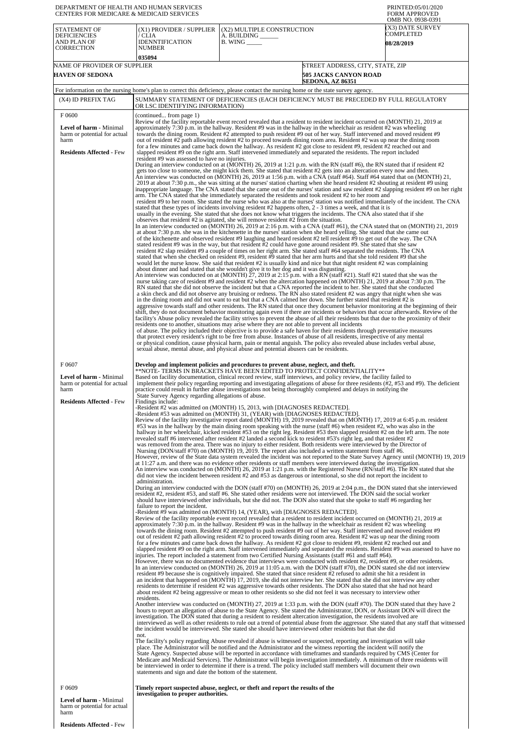| CENTERS FOR MEDICARE & MEDICAID SERVICES                                                                    |                                                                                                                                                      |                                                                                                                                                                                                                                                                                                                                                                                                                                                                                                                                                                                                                                                                                                                                                                                                                                                                                                                                                                                                                                                                                                                                                                                                                                                                                                                                                                                                                                                                                                                                                                                                                                                                                                                                                                                                                                                                                                                                                                                                                                                                                                                                                                                                                                                                                                                                                                                                                                                                                                                                                                                                                                                                                                                                                                                                                                                                                                                                                                                                                                                                                                                                                                                                                                                                                                                                                                                                                                                                                                                                                                                                                                                                                                                                                                                                                                                                                                                                                                                                                                                                                                                                                                                                                                                                                                                               | <b>FORM APPROVED</b><br>OMB NO. 0938-0391<br>(X3) DATE SURVEY                                                                                                                                                                                                                                                                                                                                                                                                                                                                                                                                                                                                                                                                                                                                                                                                                                                                                                               |
|-------------------------------------------------------------------------------------------------------------|------------------------------------------------------------------------------------------------------------------------------------------------------|-------------------------------------------------------------------------------------------------------------------------------------------------------------------------------------------------------------------------------------------------------------------------------------------------------------------------------------------------------------------------------------------------------------------------------------------------------------------------------------------------------------------------------------------------------------------------------------------------------------------------------------------------------------------------------------------------------------------------------------------------------------------------------------------------------------------------------------------------------------------------------------------------------------------------------------------------------------------------------------------------------------------------------------------------------------------------------------------------------------------------------------------------------------------------------------------------------------------------------------------------------------------------------------------------------------------------------------------------------------------------------------------------------------------------------------------------------------------------------------------------------------------------------------------------------------------------------------------------------------------------------------------------------------------------------------------------------------------------------------------------------------------------------------------------------------------------------------------------------------------------------------------------------------------------------------------------------------------------------------------------------------------------------------------------------------------------------------------------------------------------------------------------------------------------------------------------------------------------------------------------------------------------------------------------------------------------------------------------------------------------------------------------------------------------------------------------------------------------------------------------------------------------------------------------------------------------------------------------------------------------------------------------------------------------------------------------------------------------------------------------------------------------------------------------------------------------------------------------------------------------------------------------------------------------------------------------------------------------------------------------------------------------------------------------------------------------------------------------------------------------------------------------------------------------------------------------------------------------------------------------------------------------------------------------------------------------------------------------------------------------------------------------------------------------------------------------------------------------------------------------------------------------------------------------------------------------------------------------------------------------------------------------------------------------------------------------------------------------------------------------------------------------------------------------------------------------------------------------------------------------------------------------------------------------------------------------------------------------------------------------------------------------------------------------------------------------------------------------------------------------------------------------------------------------------------------------------------------------------------------------------------------------------------------------------------------------------|-----------------------------------------------------------------------------------------------------------------------------------------------------------------------------------------------------------------------------------------------------------------------------------------------------------------------------------------------------------------------------------------------------------------------------------------------------------------------------------------------------------------------------------------------------------------------------------------------------------------------------------------------------------------------------------------------------------------------------------------------------------------------------------------------------------------------------------------------------------------------------------------------------------------------------------------------------------------------------|
| <b>STATEMENT OF</b><br><b>DEFICIENCIES</b><br>AND PLAN OF<br><b>CORRECTION</b>                              | (X1) PROVIDER / SUPPLIER<br>/ CLIA<br><b>IDENNTIFICATION</b><br><b>NUMBER</b>                                                                        | (X2) MULTIPLE CONSTRUCTION<br>A. BUILDING<br><b>B. WING</b>                                                                                                                                                                                                                                                                                                                                                                                                                                                                                                                                                                                                                                                                                                                                                                                                                                                                                                                                                                                                                                                                                                                                                                                                                                                                                                                                                                                                                                                                                                                                                                                                                                                                                                                                                                                                                                                                                                                                                                                                                                                                                                                                                                                                                                                                                                                                                                                                                                                                                                                                                                                                                                                                                                                                                                                                                                                                                                                                                                                                                                                                                                                                                                                                                                                                                                                                                                                                                                                                                                                                                                                                                                                                                                                                                                                                                                                                                                                                                                                                                                                                                                                                                                                                                                                                   | COMPLETED<br><b>08/28/2019</b>                                                                                                                                                                                                                                                                                                                                                                                                                                                                                                                                                                                                                                                                                                                                                                                                                                                                                                                                              |
| NAME OF PROVIDER OF SUPPLIER                                                                                | 035094                                                                                                                                               |                                                                                                                                                                                                                                                                                                                                                                                                                                                                                                                                                                                                                                                                                                                                                                                                                                                                                                                                                                                                                                                                                                                                                                                                                                                                                                                                                                                                                                                                                                                                                                                                                                                                                                                                                                                                                                                                                                                                                                                                                                                                                                                                                                                                                                                                                                                                                                                                                                                                                                                                                                                                                                                                                                                                                                                                                                                                                                                                                                                                                                                                                                                                                                                                                                                                                                                                                                                                                                                                                                                                                                                                                                                                                                                                                                                                                                                                                                                                                                                                                                                                                                                                                                                                                                                                                                                               | STREET ADDRESS, CITY, STATE, ZIP                                                                                                                                                                                                                                                                                                                                                                                                                                                                                                                                                                                                                                                                                                                                                                                                                                                                                                                                            |
| <b>HAVEN OF SEDONA</b>                                                                                      |                                                                                                                                                      | <b>SEDONA, AZ 86351</b>                                                                                                                                                                                                                                                                                                                                                                                                                                                                                                                                                                                                                                                                                                                                                                                                                                                                                                                                                                                                                                                                                                                                                                                                                                                                                                                                                                                                                                                                                                                                                                                                                                                                                                                                                                                                                                                                                                                                                                                                                                                                                                                                                                                                                                                                                                                                                                                                                                                                                                                                                                                                                                                                                                                                                                                                                                                                                                                                                                                                                                                                                                                                                                                                                                                                                                                                                                                                                                                                                                                                                                                                                                                                                                                                                                                                                                                                                                                                                                                                                                                                                                                                                                                                                                                                                                       | <b>505 JACKS CANYON ROAD</b>                                                                                                                                                                                                                                                                                                                                                                                                                                                                                                                                                                                                                                                                                                                                                                                                                                                                                                                                                |
|                                                                                                             |                                                                                                                                                      | For information on the nursing home's plan to correct this deficiency, please contact the nursing home or the state survey agency.                                                                                                                                                                                                                                                                                                                                                                                                                                                                                                                                                                                                                                                                                                                                                                                                                                                                                                                                                                                                                                                                                                                                                                                                                                                                                                                                                                                                                                                                                                                                                                                                                                                                                                                                                                                                                                                                                                                                                                                                                                                                                                                                                                                                                                                                                                                                                                                                                                                                                                                                                                                                                                                                                                                                                                                                                                                                                                                                                                                                                                                                                                                                                                                                                                                                                                                                                                                                                                                                                                                                                                                                                                                                                                                                                                                                                                                                                                                                                                                                                                                                                                                                                                                            |                                                                                                                                                                                                                                                                                                                                                                                                                                                                                                                                                                                                                                                                                                                                                                                                                                                                                                                                                                             |
| (X4) ID PREFIX TAG                                                                                          | OR LSC IDENTIFYING INFORMATION)                                                                                                                      | SUMMARY STATEMENT OF DEFICIENCIES (EACH DEFICIENCY MUST BE PRECEDED BY FULL REGULATORY                                                                                                                                                                                                                                                                                                                                                                                                                                                                                                                                                                                                                                                                                                                                                                                                                                                                                                                                                                                                                                                                                                                                                                                                                                                                                                                                                                                                                                                                                                                                                                                                                                                                                                                                                                                                                                                                                                                                                                                                                                                                                                                                                                                                                                                                                                                                                                                                                                                                                                                                                                                                                                                                                                                                                                                                                                                                                                                                                                                                                                                                                                                                                                                                                                                                                                                                                                                                                                                                                                                                                                                                                                                                                                                                                                                                                                                                                                                                                                                                                                                                                                                                                                                                                                        |                                                                                                                                                                                                                                                                                                                                                                                                                                                                                                                                                                                                                                                                                                                                                                                                                                                                                                                                                                             |
| F0600<br>Level of harm - Minimal<br>harm or potential for actual<br>harm<br><b>Residents Affected - Few</b> | (continued from page 1)<br>resident #9 was assessed to have no injuries.                                                                             | Review of the facility reportable event record revealed that a resident to resident incident occurred on (MONTH) 21, 2019 at<br>approximately 7:30 p.m. in the hallway. Resident #9 was in the hallway in the wheelchair as resident #2 was wheeling<br>towards the dining room. Resident #2 attempted to push resident #9 out of her way. Staff intervened and moved resident #9<br>out of resident #2 path allowing resident #2 to proceed towards dining room area. Resident #2 was up near the dining room<br>for a few minutes and came back down the hallway. As resident #2 got close to resident #9, resident #2 reached out and<br>slapped resident #9 on the right arm. Staff intervened immediately and separated the residents. The report included<br>During an interview conducted on at (MONTH) 26, 2019 at 1:21 p.m. with the RN (staff #6), the RN stated that if resident #2<br>gets too close to someone, she might kick them. She stated that resident #2 gets into an altercation every now and then.<br>An interview was conducted on (MONTH) 26, 2019 at 1:56 p.m. with a CNA (staff #64). Staff #64 stated that on (MONTH) 21,<br>2019 at about 7:30 p.m., she was sitting at the nurses' station charting when she heard resident #2 shouting at resident #9 using<br>arm. The CNA stated that she immediately separated the residents and took resident #2 to her room and<br>stated that these types of incidents involving resident #2 happens often, 2 - 3 times a week, and that it is<br>usually in the evening. She stated that she does not know what triggers the incidents. The CNA also stated that if she<br>observes that resident $#2$ is agitated, she will remove resident $#2$ from the situation.<br>at about 7:30 p.m. she was in the kitchenette in the nurses' station when she heard yelling. She stated that she came out<br>of the kitchenette and observed resident #9 laughing and heard resident #2 tell resident #9 to get out of the way. The CNA<br>stated resident #9 was in the way, but that resident #2 could have gone around resident #9. She stated that she saw<br>resident #2 slap resident #9 a couple of times on her right arm. She stated staff #64 separated the residents. The CNA<br>stated that when she checked on resident #9, resident #9 stated that her arm hurts and that she told resident #9 that she<br>would let the nurse know. She said that resident #2 is usually kind and nice but that night resident #2 was complaining<br>about dinner and had stated that she wouldn't give it to her dog and it was disgusting.<br>An interview was conducted on at (MONTH) 27, 2019 at 2:15 p.m. with a RN (staff #21). Staff #21 stated that she was the<br>nurse taking care of resident #9 and resident #2 when the altercation happened on (MONTH) 21, 2019 at about 7:30 p.m. The<br>RN stated that she did not observe the incident but that a CNA reported the incident to her. She stated that she conducted<br>a skin check and did not observe any bruising or redness. The RN also stated resident #2 was angry that night when she was<br>in the dining room and did not want to eat but that a CNA calmed her down. She further stated that resident #2 is<br>facility's Abuse policy revealed the facility strives to prevent the abuse of all their residents but that due to the proximity of their<br>residents one to another, situations may arise where they are not able to prevent all incidents<br>of abuse. The policy included their objective is to provide a safe haven for their residents through preventative measures<br>that protect every resident's right to be free from abuse. Instances of abuse of all residents, irrespective of any mental                                                                                                                                                                                                                                                                                                                                                                                                                                                                                                                                                               | inappropriate language. The CNA stated that she came out of the nurses' station and saw resident #2 slapping resident #9 on her right<br>resident #9 to her room. She stated the nurse who was also at the nurses' station was notified immediately of the incident. The CNA<br>In an interview conducted on (MONTH) 26, 2019 at 2:16 p.m. with a CNA (staff #61), the CNA stated that on (MONTH) 21, 2019<br>aggressive towards staff and other residents. The RN stated that once they document behavior monitoring at the beginning of their<br>shift, they do not document behavior monitoring again even if there are incidents or behaviors that occur afterwards. Review of the                                                                                                                                                                                                                                                                                      |
| F0607<br>Level of harm - Minimal<br>harm or potential for actual<br>harm<br><b>Residents Affected - Few</b> | State Survey Agency regarding allegations of abuse.<br>Findings include:<br>administration.<br>failure to report the incident.<br>residents.<br>not. | sexual abuse, mental abuse, and physical abuse and potential abusers can be residents.<br>Develop and implement policies and procedures to prevent abuse, neglect, and theft.<br>**NOTE- TERMS IN BRACKETS HAVE BEEN EDITED TO PROTECT CONFIDENTIALITY**<br>Based on facility documentation, clinical record review, staff interviews, and policy review, the facility failed to<br>practice could result in further abuse investigations not being thoroughly completed and delays in notifying the<br>-Resident #2 was admitted on (MONTH) 15, 2013, with [DIAGNOSES REDACTED].<br>-Resident #53 was admitted on (MONTH) 31, (YEAR) with [DIAGNOSES REDACTED].<br>Review of the facility investigative report dated (MONTH) 19, 2019 revealed that on (MONTH) 17, 2019 at 6:45 p.m. resident<br>#53 was in the hallway by the main dining room speaking with the nurse (staff #6) when resident #2, who was also in the<br>hallway in her wheelchair, kicked resident #53 on the right leg. Resident #53 then slapped resident #2 on the left arm. The note<br>revealed staff #6 intervened after resident #2 landed a second kick to resident #53's right leg, and that resident #2<br>was removed from the area. There was no injury to either resident. Both residents were interviewed by the Director of<br>Nursing (DON/staff #70) on (MONTH) 19, 2019. The report also included a written statement from staff #6.<br>at 11:27 a.m. and there was no evidence other residents or staff members were interviewed during the investigation.<br>did not view the incident between resident #2 and #53 as dangerous or intentional, so she did not report the incident to<br>resident #2, resident #53, and staff #6. She stated other residents were not interviewed. The DON said the social worker<br>should have interviewed other individuals, but she did not. The DON also stated that she spoke to staff #6 regarding her<br>-Resident #9 was admitted on (MONTH) 14, (YEAR), with [DIAGNOSES REDACTED].<br>Review of the facility reportable event record revealed that a resident to resident incident occurred on (MONTH) 21, 2019 at<br>approximately 7:30 p.m. in the hallway. Resident #9 was in the hallway in the wheelchair as resident #2 was wheeling<br>towards the dining room. Resident #2 attempted to push resident #9 out of her way. Staff intervened and moved resident #9<br>out of resident #2 path allowing resident #2 to proceed towards dining room area. Resident #2 was up near the dining room<br>for a few minutes and came back down the hallway. As resident $#2$ got close to resident $#9$ , resident $#2$ reached out and<br>injuries. The report included a statement from two Certified Nursing Assistants (staff #61 and staff #64).<br>However, there was no documented evidence that interviews were conducted with resident #2, resident #9, or other residents.<br>In an interview conducted on (MONTH) 26, 2019 at 11:05 a.m. with the DON (staff #70), the DON stated she did not interview<br>resident #9 because she is cognitively impaired. She stated that since resident #2 refused to admit she hit a resident in<br>an incident that happened on (MONTH) 17, 2019, she did not interview her. She stated that she did not interview any other<br>residents to determine if resident #2 was aggressive towards other residents. The DON also stated that she had not heard<br>about resident #2 being aggressive or mean to other residents so she did not feel it was necessary to interview other<br>hours to report an allegation of abuse to the State Agency. She stated the Administrator, DON, or Assistant DON will direct the<br>investigation. The DON stated that during a resident to resident altercation investigation, the residents involved are<br>the incident would be interviewed. She stated she should have interviewed other residents but that she did<br>The facility's policy regarding Abuse revealed if abuse is witnessed or suspected, reporting and investigation will take<br>place. The Administrator will be notified and the Administrator and the witness reporting the incident will notify the<br>State Agency. Suspected abuse will be reported in accordance with timeframes and standards required by CMS (Center for | implement their policy regarding reporting and investigating allegations of abuse for three residents $(\#2, \#53 \text{ and } \#9)$ . The deficient<br>However, review of the State data system revealed the incident was not reported to the State Survey Agency until (MONTH) 19, 2019<br>An interview was conducted on (MONTH) 26, 2019 at 1:21 p.m. with the Registered Nurse (RN/staff #6). The RN stated that she<br>During an interview conducted with the DON (staff #70) on (MONTH) 26, 2019 at 2:04 p.m., the DON stated that she interviewed<br>slapped resident #9 on the right arm. Staff intervened immediately and separated the residents. Resident #9 was assessed to have no<br>Another interview was conducted on (MONTH) 27, 2019 at 1:33 p.m. with the DON (staff #70). The DON stated that they have 2<br>interviewed as well as other residents to rule out a trend of potential abuse from the aggressor. She stated that any staff that witnessed |
| F 0609                                                                                                      | statements and sign and date the bottom of the statement.<br>investigation to proper authorities.                                                    | Medicare and Medicaid Services). The Administrator will begin investigation immediately. A minimum of three residents will<br>be interviewed in order to determine if there is a trend. The policy included staff members will document their own<br>Timely report suspected abuse, neglect, or theft and report the results of the                                                                                                                                                                                                                                                                                                                                                                                                                                                                                                                                                                                                                                                                                                                                                                                                                                                                                                                                                                                                                                                                                                                                                                                                                                                                                                                                                                                                                                                                                                                                                                                                                                                                                                                                                                                                                                                                                                                                                                                                                                                                                                                                                                                                                                                                                                                                                                                                                                                                                                                                                                                                                                                                                                                                                                                                                                                                                                                                                                                                                                                                                                                                                                                                                                                                                                                                                                                                                                                                                                                                                                                                                                                                                                                                                                                                                                                                                                                                                                                           |                                                                                                                                                                                                                                                                                                                                                                                                                                                                                                                                                                                                                                                                                                                                                                                                                                                                                                                                                                             |
| <b>Level of harm - Minimal</b><br>harm or potential for actual<br>harm<br><b>Residents Affected - Few</b>   |                                                                                                                                                      |                                                                                                                                                                                                                                                                                                                                                                                                                                                                                                                                                                                                                                                                                                                                                                                                                                                                                                                                                                                                                                                                                                                                                                                                                                                                                                                                                                                                                                                                                                                                                                                                                                                                                                                                                                                                                                                                                                                                                                                                                                                                                                                                                                                                                                                                                                                                                                                                                                                                                                                                                                                                                                                                                                                                                                                                                                                                                                                                                                                                                                                                                                                                                                                                                                                                                                                                                                                                                                                                                                                                                                                                                                                                                                                                                                                                                                                                                                                                                                                                                                                                                                                                                                                                                                                                                                                               |                                                                                                                                                                                                                                                                                                                                                                                                                                                                                                                                                                                                                                                                                                                                                                                                                                                                                                                                                                             |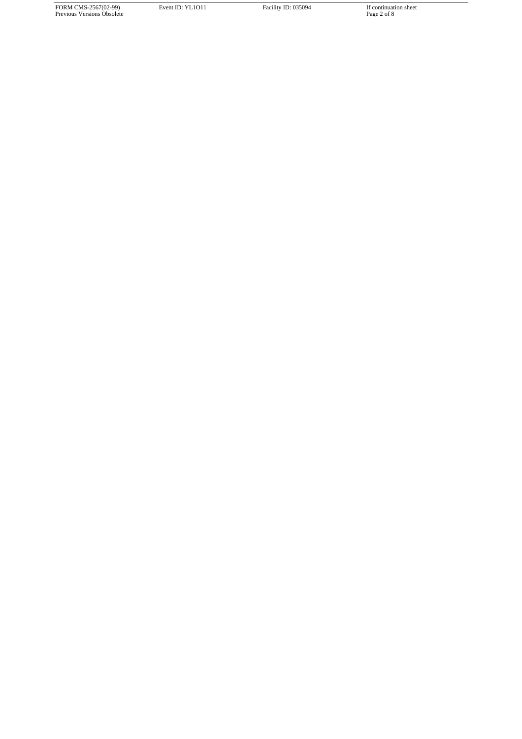FORM CMS-2567(02-99) Previous Versions Obsolete

Event ID: YL1O11 Facility ID: 035094 If continuation sheet<br>Page 2 of 8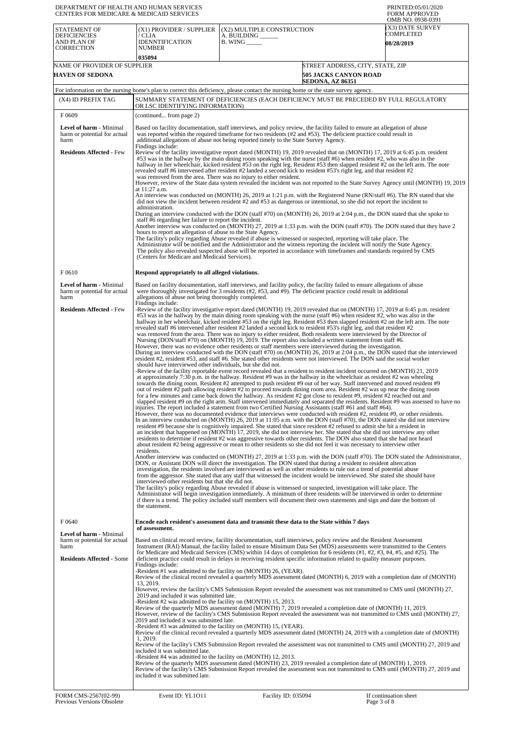| DEPARTMENT OF HEALTH AND HUMAN SERVICES<br>CENTERS FOR MEDICARE & MEDICAID SERVICES                        |                                                                                                                                                                                                                                                                                                                                                                                                                                                                                                                                                                                                                                                                                                                                                                                                                                                                                                                                                                                                                                                                                                                                                                                                                                                                                                                                                                                                                  |                                                                                                                                                                                                                                                                                                                                                                                                                                                                                                                                                                                                                                                                                                                                                                                                                                                                                                                                                                                                                                                                                                                                                                                                                                                                                                                                                                                                                                                                                                                                                                                                                                                                                                                                                                                                                                                                                                                                                                                                                                                                                                                                                                                                                                                                                                                                                                                                                                                                                                                                                                                                                                                                                                                                                                                                                                                                                                                                                                                                                                                                                                                                                                                                                                                                                                                                                                                                                                                                                                                                                                                                                                                                                                                            | PRINTED:05/01/2020<br><b>FORM APPROVED</b><br>OMB NO. 0938-0391  |  |
|------------------------------------------------------------------------------------------------------------|------------------------------------------------------------------------------------------------------------------------------------------------------------------------------------------------------------------------------------------------------------------------------------------------------------------------------------------------------------------------------------------------------------------------------------------------------------------------------------------------------------------------------------------------------------------------------------------------------------------------------------------------------------------------------------------------------------------------------------------------------------------------------------------------------------------------------------------------------------------------------------------------------------------------------------------------------------------------------------------------------------------------------------------------------------------------------------------------------------------------------------------------------------------------------------------------------------------------------------------------------------------------------------------------------------------------------------------------------------------------------------------------------------------|----------------------------------------------------------------------------------------------------------------------------------------------------------------------------------------------------------------------------------------------------------------------------------------------------------------------------------------------------------------------------------------------------------------------------------------------------------------------------------------------------------------------------------------------------------------------------------------------------------------------------------------------------------------------------------------------------------------------------------------------------------------------------------------------------------------------------------------------------------------------------------------------------------------------------------------------------------------------------------------------------------------------------------------------------------------------------------------------------------------------------------------------------------------------------------------------------------------------------------------------------------------------------------------------------------------------------------------------------------------------------------------------------------------------------------------------------------------------------------------------------------------------------------------------------------------------------------------------------------------------------------------------------------------------------------------------------------------------------------------------------------------------------------------------------------------------------------------------------------------------------------------------------------------------------------------------------------------------------------------------------------------------------------------------------------------------------------------------------------------------------------------------------------------------------------------------------------------------------------------------------------------------------------------------------------------------------------------------------------------------------------------------------------------------------------------------------------------------------------------------------------------------------------------------------------------------------------------------------------------------------------------------------------------------------------------------------------------------------------------------------------------------------------------------------------------------------------------------------------------------------------------------------------------------------------------------------------------------------------------------------------------------------------------------------------------------------------------------------------------------------------------------------------------------------------------------------------------------------------------------------------------------------------------------------------------------------------------------------------------------------------------------------------------------------------------------------------------------------------------------------------------------------------------------------------------------------------------------------------------------------------------------------------------------------------------------------------------------------|------------------------------------------------------------------|--|
| STATEMENT OF<br><b>DEFICIENCIES</b><br>AND PLAN OF<br><b>CORRECTION</b>                                    | (X1) PROVIDER / SUPPLIER<br>/ CLIA<br><b>IDENNTIFICATION</b><br><b>NUMBER</b>                                                                                                                                                                                                                                                                                                                                                                                                                                                                                                                                                                                                                                                                                                                                                                                                                                                                                                                                                                                                                                                                                                                                                                                                                                                                                                                                    | (X2) MULTIPLE CONSTRUCTION<br>A. BUILDING ______<br>$B.$ WING $\_\_\_\_\_\_\_\$                                                                                                                                                                                                                                                                                                                                                                                                                                                                                                                                                                                                                                                                                                                                                                                                                                                                                                                                                                                                                                                                                                                                                                                                                                                                                                                                                                                                                                                                                                                                                                                                                                                                                                                                                                                                                                                                                                                                                                                                                                                                                                                                                                                                                                                                                                                                                                                                                                                                                                                                                                                                                                                                                                                                                                                                                                                                                                                                                                                                                                                                                                                                                                                                                                                                                                                                                                                                                                                                                                                                                                                                                                            | (X3) DATE SURVEY<br>COMPLETED<br><b>08/28/2019</b>               |  |
| NAME OF PROVIDER OF SUPPLIER<br><b>HAVEN OF SEDONA</b>                                                     | 035094                                                                                                                                                                                                                                                                                                                                                                                                                                                                                                                                                                                                                                                                                                                                                                                                                                                                                                                                                                                                                                                                                                                                                                                                                                                                                                                                                                                                           |                                                                                                                                                                                                                                                                                                                                                                                                                                                                                                                                                                                                                                                                                                                                                                                                                                                                                                                                                                                                                                                                                                                                                                                                                                                                                                                                                                                                                                                                                                                                                                                                                                                                                                                                                                                                                                                                                                                                                                                                                                                                                                                                                                                                                                                                                                                                                                                                                                                                                                                                                                                                                                                                                                                                                                                                                                                                                                                                                                                                                                                                                                                                                                                                                                                                                                                                                                                                                                                                                                                                                                                                                                                                                                                            | STREET ADDRESS, CITY, STATE, ZIP<br><b>505 JACKS CANYON ROAD</b> |  |
|                                                                                                            |                                                                                                                                                                                                                                                                                                                                                                                                                                                                                                                                                                                                                                                                                                                                                                                                                                                                                                                                                                                                                                                                                                                                                                                                                                                                                                                                                                                                                  | <b>SEDONA, AZ 86351</b>                                                                                                                                                                                                                                                                                                                                                                                                                                                                                                                                                                                                                                                                                                                                                                                                                                                                                                                                                                                                                                                                                                                                                                                                                                                                                                                                                                                                                                                                                                                                                                                                                                                                                                                                                                                                                                                                                                                                                                                                                                                                                                                                                                                                                                                                                                                                                                                                                                                                                                                                                                                                                                                                                                                                                                                                                                                                                                                                                                                                                                                                                                                                                                                                                                                                                                                                                                                                                                                                                                                                                                                                                                                                                                    |                                                                  |  |
| (X4) ID PREFIX TAG                                                                                         |                                                                                                                                                                                                                                                                                                                                                                                                                                                                                                                                                                                                                                                                                                                                                                                                                                                                                                                                                                                                                                                                                                                                                                                                                                                                                                                                                                                                                  | For information on the nursing home's plan to correct this deficiency, please contact the nursing home or the state survey agency.<br>SUMMARY STATEMENT OF DEFICIENCIES (EACH DEFICIENCY MUST BE PRECEDED BY FULL REGULATORY                                                                                                                                                                                                                                                                                                                                                                                                                                                                                                                                                                                                                                                                                                                                                                                                                                                                                                                                                                                                                                                                                                                                                                                                                                                                                                                                                                                                                                                                                                                                                                                                                                                                                                                                                                                                                                                                                                                                                                                                                                                                                                                                                                                                                                                                                                                                                                                                                                                                                                                                                                                                                                                                                                                                                                                                                                                                                                                                                                                                                                                                                                                                                                                                                                                                                                                                                                                                                                                                                               |                                                                  |  |
| F0609                                                                                                      | OR LSC IDENTIFYING INFORMATION)<br>(continued from page 2)                                                                                                                                                                                                                                                                                                                                                                                                                                                                                                                                                                                                                                                                                                                                                                                                                                                                                                                                                                                                                                                                                                                                                                                                                                                                                                                                                       |                                                                                                                                                                                                                                                                                                                                                                                                                                                                                                                                                                                                                                                                                                                                                                                                                                                                                                                                                                                                                                                                                                                                                                                                                                                                                                                                                                                                                                                                                                                                                                                                                                                                                                                                                                                                                                                                                                                                                                                                                                                                                                                                                                                                                                                                                                                                                                                                                                                                                                                                                                                                                                                                                                                                                                                                                                                                                                                                                                                                                                                                                                                                                                                                                                                                                                                                                                                                                                                                                                                                                                                                                                                                                                                            |                                                                  |  |
| <b>Level of harm - Minimal</b>                                                                             |                                                                                                                                                                                                                                                                                                                                                                                                                                                                                                                                                                                                                                                                                                                                                                                                                                                                                                                                                                                                                                                                                                                                                                                                                                                                                                                                                                                                                  |                                                                                                                                                                                                                                                                                                                                                                                                                                                                                                                                                                                                                                                                                                                                                                                                                                                                                                                                                                                                                                                                                                                                                                                                                                                                                                                                                                                                                                                                                                                                                                                                                                                                                                                                                                                                                                                                                                                                                                                                                                                                                                                                                                                                                                                                                                                                                                                                                                                                                                                                                                                                                                                                                                                                                                                                                                                                                                                                                                                                                                                                                                                                                                                                                                                                                                                                                                                                                                                                                                                                                                                                                                                                                                                            |                                                                  |  |
| harm or potential for actual<br>harm                                                                       | Based on facility documentation, staff interviews, and policy review, the facility failed to ensure an allegation of abuse<br>was reported within the required timeframe for two residents $(\#2 \text{ and } \#53)$ . The deficient practice could result in<br>additional allegations of abuse not being reported timely to the State Survey Agency.<br>Findings include:                                                                                                                                                                                                                                                                                                                                                                                                                                                                                                                                                                                                                                                                                                                                                                                                                                                                                                                                                                                                                                      |                                                                                                                                                                                                                                                                                                                                                                                                                                                                                                                                                                                                                                                                                                                                                                                                                                                                                                                                                                                                                                                                                                                                                                                                                                                                                                                                                                                                                                                                                                                                                                                                                                                                                                                                                                                                                                                                                                                                                                                                                                                                                                                                                                                                                                                                                                                                                                                                                                                                                                                                                                                                                                                                                                                                                                                                                                                                                                                                                                                                                                                                                                                                                                                                                                                                                                                                                                                                                                                                                                                                                                                                                                                                                                                            |                                                                  |  |
| <b>Residents Affected - Few</b>                                                                            | Review of the facility investigative report dated (MONTH) 19, 2019 revealed that on (MONTH) 17, 2019 at 6:45 p.m. resident<br>#53 was in the hallway by the main dining room speaking with the nurse (staff #6) when resident #2, who was also in the<br>hallway in her wheelchair, kicked resident #53 on the right leg. Resident #53 then slapped resident #2 on the left arm. The note<br>revealed staff #6 intervened after resident #2 landed a second kick to resident #53's right leg, and that resident #2<br>was removed from the area. There was no injury to either resident.<br>However, review of the State data system revealed the incident was not reported to the State Survey Agency until (MONTH) 19, 2019<br>at 11:27 a.m.<br>An interview was conducted on (MONTH) 26, 2019 at 1:21 p.m. with the Registered Nurse (RN/staff #6). The RN stated that she<br>did not view the incident between resident #2 and #53 as dangerous or intentional, so she did not report the incident to<br>administration.<br>During an interview conducted with the DON (staff #70) on (MONTH) 26, 2019 at 2:04 p.m., the DON stated that she spoke to<br>staff #6 regarding her failure to report the incident.<br>Another interview was conducted on (MONTH) 27, 2019 at 1:33 p.m. with the DON (staff #70). The DON stated that they have 2<br>hours to report an allegation of abuse to the State Agency. |                                                                                                                                                                                                                                                                                                                                                                                                                                                                                                                                                                                                                                                                                                                                                                                                                                                                                                                                                                                                                                                                                                                                                                                                                                                                                                                                                                                                                                                                                                                                                                                                                                                                                                                                                                                                                                                                                                                                                                                                                                                                                                                                                                                                                                                                                                                                                                                                                                                                                                                                                                                                                                                                                                                                                                                                                                                                                                                                                                                                                                                                                                                                                                                                                                                                                                                                                                                                                                                                                                                                                                                                                                                                                                                            |                                                                  |  |
|                                                                                                            | (Centers for Medicare and Medicaid Services).                                                                                                                                                                                                                                                                                                                                                                                                                                                                                                                                                                                                                                                                                                                                                                                                                                                                                                                                                                                                                                                                                                                                                                                                                                                                                                                                                                    | The facility's policy regarding Abuse revealed if abuse is witnessed or suspected, reporting will take place. The<br>Administrator will be notified and the Administrator and the witness reporting the incident will notify the State Agency.<br>The policy also revealed suspected abuse will be reported in accordance with timeframes and standards required by CMS                                                                                                                                                                                                                                                                                                                                                                                                                                                                                                                                                                                                                                                                                                                                                                                                                                                                                                                                                                                                                                                                                                                                                                                                                                                                                                                                                                                                                                                                                                                                                                                                                                                                                                                                                                                                                                                                                                                                                                                                                                                                                                                                                                                                                                                                                                                                                                                                                                                                                                                                                                                                                                                                                                                                                                                                                                                                                                                                                                                                                                                                                                                                                                                                                                                                                                                                                    |                                                                  |  |
| F0610                                                                                                      | Respond appropriately to all alleged violations.                                                                                                                                                                                                                                                                                                                                                                                                                                                                                                                                                                                                                                                                                                                                                                                                                                                                                                                                                                                                                                                                                                                                                                                                                                                                                                                                                                 |                                                                                                                                                                                                                                                                                                                                                                                                                                                                                                                                                                                                                                                                                                                                                                                                                                                                                                                                                                                                                                                                                                                                                                                                                                                                                                                                                                                                                                                                                                                                                                                                                                                                                                                                                                                                                                                                                                                                                                                                                                                                                                                                                                                                                                                                                                                                                                                                                                                                                                                                                                                                                                                                                                                                                                                                                                                                                                                                                                                                                                                                                                                                                                                                                                                                                                                                                                                                                                                                                                                                                                                                                                                                                                                            |                                                                  |  |
| Level of harm - Minimal<br>harm or potential for actual<br>harm                                            | allegations of abuse not being thoroughly completed.                                                                                                                                                                                                                                                                                                                                                                                                                                                                                                                                                                                                                                                                                                                                                                                                                                                                                                                                                                                                                                                                                                                                                                                                                                                                                                                                                             | Based on facility documentation, staff interviews, and facility policy, the facility failed to ensure allegations of abuse<br>were thoroughly investigated for 3 residents (#2, #53, and #9). The deficient practice could result in additional                                                                                                                                                                                                                                                                                                                                                                                                                                                                                                                                                                                                                                                                                                                                                                                                                                                                                                                                                                                                                                                                                                                                                                                                                                                                                                                                                                                                                                                                                                                                                                                                                                                                                                                                                                                                                                                                                                                                                                                                                                                                                                                                                                                                                                                                                                                                                                                                                                                                                                                                                                                                                                                                                                                                                                                                                                                                                                                                                                                                                                                                                                                                                                                                                                                                                                                                                                                                                                                                            |                                                                  |  |
| <b>Residents Affected - Few</b>                                                                            | Findings include:<br>should have interviewed other individuals, but she did not.<br>residents.<br>interviewed other residents but that she did not.<br>the statement.                                                                                                                                                                                                                                                                                                                                                                                                                                                                                                                                                                                                                                                                                                                                                                                                                                                                                                                                                                                                                                                                                                                                                                                                                                            | -Review of the facility investigative report dated (MONTH) 19, 2019 revealed that on (MONTH) 17, 2019 at 6:45 p.m. resident<br>#53 was in the hallway by the main dining room speaking with the nurse (staff #6) when resident #2, who was also in the<br>hallway in her wheelchair, kicked resident #53 on the right leg. Resident #53 then slapped resident #2 on the left arm. The note<br>revealed staff #6 intervened after resident #2 landed a second kick to resident #53's right leg, and that resident #2<br>was removed from the area. There was no injury to either resident. Both residents were interviewed by the Director of<br>Nursing (DON/staff #70) on (MONTH) 19, 2019. The report also included a written statement from staff #6.<br>However, there was no evidence other residents or staff members were interviewed during the investigation.<br>During an interview conducted with the DON (staff #70) on (MONTH) 26, 2019 at 2:04 p.m., the DON stated that she interviewed<br>resident #2, resident #53, and staff #6. She stated other residents were not interviewed. The DON said the social worker<br>-Review of the facility reportable event record revealed that a resident to resident incident occurred on (MONTH) 21, 2019<br>at approximately 7:30 p.m. in the hallway. Resident #9 was in the hallway in the wheelchair as resident #2 was wheeling<br>towards the dining room. Resident #2 attempted to push resident #9 out of her way. Staff intervened and moved resident #9<br>out of resident #2 path allowing resident #2 to proceed towards dining room area. Resident #2 was up near the dining room<br>for a few minutes and came back down the hallway. As resident $#2$ got close to resident $#9$ , resident $#2$ reached out and<br>slapped resident #9 on the right arm. Staff intervened immediately and separated the residents. Resident #9 was assessed to have no<br>injuries. The report included a statement from two Certified Nursing Assistants (staff #61 and staff #64).<br>However, there was no documented evidence that interviews were conducted with resident #2, resident #9, or other residents.<br>In an interview conducted on (MONTH) 26, 2019 at 11:05 a.m. with the DON (staff #70), the DON stated she did not interview<br>resident #9 because she is cognitively impaired. She stated that since resident #2 refused to admit she hit a resident in<br>an incident that happened on (MONTH) 17, 2019, she did not interview her. She stated that she did not interview any other<br>residents to determine if resident #2 was aggressive towards other residents. The DON also stated that she had not heard<br>about resident #2 being aggressive or mean to other residents so she did not feel it was necessary to interview other<br>Another interview was conducted on (MONTH) 27, 2019 at 1:33 p.m. with the DON (staff #70). The DON stated the Administrator,<br>DON, or Assistant DON will direct the investigation. The DON stated that during a resident to resident altercation<br>investigation, the residents involved are interviewed as well as other residents to rule out a trend of potential abuse<br>from the aggressor. She stated that any staff that witnessed the incident would be interviewed. She stated she should have<br>The facility's policy regarding Abuse revealed if abuse is witnessed or suspected, investigation will take place. The<br>Administrator will begin investigation immediately. A minimum of three residents will be interviewed in order to determine<br>if there is a trend. The policy included staff members will document their own statements and sign and date the bottom of |                                                                  |  |
| F0640                                                                                                      | of assessment.                                                                                                                                                                                                                                                                                                                                                                                                                                                                                                                                                                                                                                                                                                                                                                                                                                                                                                                                                                                                                                                                                                                                                                                                                                                                                                                                                                                                   | Encode each resident's assessment data and transmit these data to the State within 7 days                                                                                                                                                                                                                                                                                                                                                                                                                                                                                                                                                                                                                                                                                                                                                                                                                                                                                                                                                                                                                                                                                                                                                                                                                                                                                                                                                                                                                                                                                                                                                                                                                                                                                                                                                                                                                                                                                                                                                                                                                                                                                                                                                                                                                                                                                                                                                                                                                                                                                                                                                                                                                                                                                                                                                                                                                                                                                                                                                                                                                                                                                                                                                                                                                                                                                                                                                                                                                                                                                                                                                                                                                                  |                                                                  |  |
| <b>Level of harm - Minimal</b><br>harm or potential for actual<br>harm<br><b>Residents Affected - Some</b> | Findings include:                                                                                                                                                                                                                                                                                                                                                                                                                                                                                                                                                                                                                                                                                                                                                                                                                                                                                                                                                                                                                                                                                                                                                                                                                                                                                                                                                                                                | Based on clinical record review, facility documentation, staff interviews, policy review and the Resident Assessment<br>Instrument (RAI) Manual, the facility failed to ensure Minimum Data Set (MDS) assessments were transmitted to the Centers<br>for Medicare and Medicaid Services (CMS) within 14 days of completion for 6 residents $(\#1, \#2, \#3, \#4, \#5, \text{ and } \#25)$ . The<br>deficient practice could result in delays in receiving resident specific information related to quality measure purposes.<br>-Resident #1 was admitted to the facility on (MONTH) 26, (YEAR).                                                                                                                                                                                                                                                                                                                                                                                                                                                                                                                                                                                                                                                                                                                                                                                                                                                                                                                                                                                                                                                                                                                                                                                                                                                                                                                                                                                                                                                                                                                                                                                                                                                                                                                                                                                                                                                                                                                                                                                                                                                                                                                                                                                                                                                                                                                                                                                                                                                                                                                                                                                                                                                                                                                                                                                                                                                                                                                                                                                                                                                                                                                           |                                                                  |  |
|                                                                                                            | 13, 2019.                                                                                                                                                                                                                                                                                                                                                                                                                                                                                                                                                                                                                                                                                                                                                                                                                                                                                                                                                                                                                                                                                                                                                                                                                                                                                                                                                                                                        | Review of the clinical record revealed a quarterly MDS assessment dated (MONTH) 6, 2019 with a completion date of (MONTH)                                                                                                                                                                                                                                                                                                                                                                                                                                                                                                                                                                                                                                                                                                                                                                                                                                                                                                                                                                                                                                                                                                                                                                                                                                                                                                                                                                                                                                                                                                                                                                                                                                                                                                                                                                                                                                                                                                                                                                                                                                                                                                                                                                                                                                                                                                                                                                                                                                                                                                                                                                                                                                                                                                                                                                                                                                                                                                                                                                                                                                                                                                                                                                                                                                                                                                                                                                                                                                                                                                                                                                                                  |                                                                  |  |
|                                                                                                            | 2019 and included it was submitted late.<br>-Resident #2 was admitted to the facility on (MONTH) 15, 2013.<br>2019 and included it was submitted late.<br>1, 2019.<br>included it was submitted late.<br>-Resident #4 was admitted to the facility on (MONTH) 12, 2013.<br>included it was submitted late.                                                                                                                                                                                                                                                                                                                                                                                                                                                                                                                                                                                                                                                                                                                                                                                                                                                                                                                                                                                                                                                                                                       | However, review the facility's CMS Submission Report revealed the assessment was not transmitted to CMS until (MONTH) 27,<br>Review of the quarterly MDS assessment dated (MONTH) 7, 2019 revealed a completion date of (MONTH) 11, 2019.<br>However, review of the facility's CMS Submission Report revealed the assessment was not transmitted to CMS until (MONTH) 27,<br>-Resident #3 was admitted to the facility on (MONTH) 15, (YEAR).<br>Review of the clinical record revealed a quarterly MDS assessment dated (MONTH) 24, 2019 with a completion date of (MONTH)<br>Review of the facility's CMS Submission Report revealed the assessment was not transmitted to CMS until (MONTH) 27, 2019 and<br>Review of the quarterly MDS assessment dated (MONTH) 23, 2019 revealed a completion date of (MONTH) 1, 2019.<br>Review of the facility's CMS Submission Report revealed the assessment was not transmitted to CMS until (MONTH) 27, 2019 and                                                                                                                                                                                                                                                                                                                                                                                                                                                                                                                                                                                                                                                                                                                                                                                                                                                                                                                                                                                                                                                                                                                                                                                                                                                                                                                                                                                                                                                                                                                                                                                                                                                                                                                                                                                                                                                                                                                                                                                                                                                                                                                                                                                                                                                                                                                                                                                                                                                                                                                                                                                                                                                                                                                                                                |                                                                  |  |
| FORM CMS-2567(02-99)<br>Previous Versions Obsolete                                                         | Event ID: YL1011                                                                                                                                                                                                                                                                                                                                                                                                                                                                                                                                                                                                                                                                                                                                                                                                                                                                                                                                                                                                                                                                                                                                                                                                                                                                                                                                                                                                 | Facility ID: 035094                                                                                                                                                                                                                                                                                                                                                                                                                                                                                                                                                                                                                                                                                                                                                                                                                                                                                                                                                                                                                                                                                                                                                                                                                                                                                                                                                                                                                                                                                                                                                                                                                                                                                                                                                                                                                                                                                                                                                                                                                                                                                                                                                                                                                                                                                                                                                                                                                                                                                                                                                                                                                                                                                                                                                                                                                                                                                                                                                                                                                                                                                                                                                                                                                                                                                                                                                                                                                                                                                                                                                                                                                                                                                                        | If continuation sheet<br>Page 3 of 8                             |  |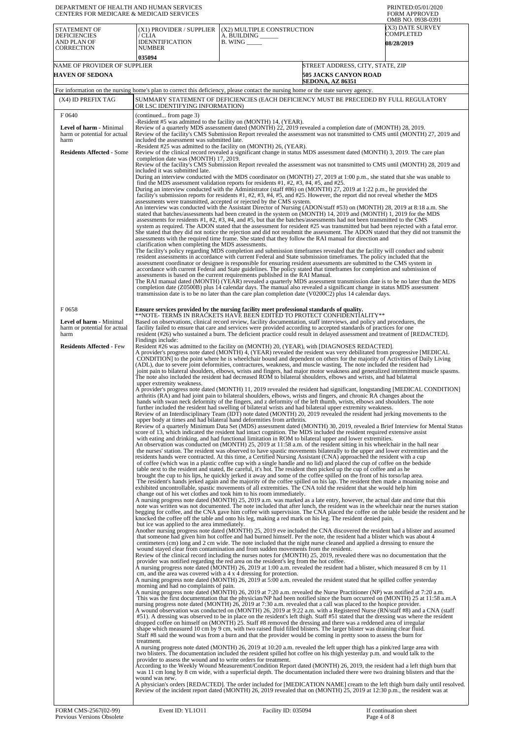| CENTERS FOR MEDICARE & MEDICAID SERVICES                                                                                                              | DEPARTMENT OF HEALTH AND HUMAN SERVICES                                                                                                                                                                                                                                                                                  |                                                                                                                                                                                                                                                                                                                                                                                                                                                                                                                                                                                                                                                                                                                                                                                                                                                                                                                                                                                                                                                                                                                                                                                                                                                                                                                                                                                                                                                                                                                                                                                                                                                                                                                                                                                                                                                                                                                                                                                                                                                                                                                                                                                                                                                                                                                                                                                                                                                                                                                                                                                                                                                                                                                                                                                                                                                                                                                                                                                                                                                                                                                                                                                                                                                                                                                                                                                                                                                                                                                                                                                                                                                                                                                                                                                                                                                                                                                                                                                                                                                                                                                                                                                                                                                                                                                                                                                                                                                                                                                                                                                                                                                                                                                                                                                                                                                                                                                                                                                                                                                                                                                                                                                                                                                                                                                                                                                                                                                                                                                                                                                                                                                                                                                                                                                                                                                                      | PRINTED:05/01/2020<br><b>FORM APPROVED</b><br>OMB NO. 0938-0391                                                                                                                                                                                                                                                                                                                                                                                                                                                                                                                                                                                                                |
|-------------------------------------------------------------------------------------------------------------------------------------------------------|--------------------------------------------------------------------------------------------------------------------------------------------------------------------------------------------------------------------------------------------------------------------------------------------------------------------------|----------------------------------------------------------------------------------------------------------------------------------------------------------------------------------------------------------------------------------------------------------------------------------------------------------------------------------------------------------------------------------------------------------------------------------------------------------------------------------------------------------------------------------------------------------------------------------------------------------------------------------------------------------------------------------------------------------------------------------------------------------------------------------------------------------------------------------------------------------------------------------------------------------------------------------------------------------------------------------------------------------------------------------------------------------------------------------------------------------------------------------------------------------------------------------------------------------------------------------------------------------------------------------------------------------------------------------------------------------------------------------------------------------------------------------------------------------------------------------------------------------------------------------------------------------------------------------------------------------------------------------------------------------------------------------------------------------------------------------------------------------------------------------------------------------------------------------------------------------------------------------------------------------------------------------------------------------------------------------------------------------------------------------------------------------------------------------------------------------------------------------------------------------------------------------------------------------------------------------------------------------------------------------------------------------------------------------------------------------------------------------------------------------------------------------------------------------------------------------------------------------------------------------------------------------------------------------------------------------------------------------------------------------------------------------------------------------------------------------------------------------------------------------------------------------------------------------------------------------------------------------------------------------------------------------------------------------------------------------------------------------------------------------------------------------------------------------------------------------------------------------------------------------------------------------------------------------------------------------------------------------------------------------------------------------------------------------------------------------------------------------------------------------------------------------------------------------------------------------------------------------------------------------------------------------------------------------------------------------------------------------------------------------------------------------------------------------------------------------------------------------------------------------------------------------------------------------------------------------------------------------------------------------------------------------------------------------------------------------------------------------------------------------------------------------------------------------------------------------------------------------------------------------------------------------------------------------------------------------------------------------------------------------------------------------------------------------------------------------------------------------------------------------------------------------------------------------------------------------------------------------------------------------------------------------------------------------------------------------------------------------------------------------------------------------------------------------------------------------------------------------------------------------------------------------------------------------------------------------------------------------------------------------------------------------------------------------------------------------------------------------------------------------------------------------------------------------------------------------------------------------------------------------------------------------------------------------------------------------------------------------------------------------------------------------------------------------------------------------------------------------------------------------------------------------------------------------------------------------------------------------------------------------------------------------------------------------------------------------------------------------------------------------------------------------------------------------------------------------------------------------------------------------------------------------------------------------------------------------------------|--------------------------------------------------------------------------------------------------------------------------------------------------------------------------------------------------------------------------------------------------------------------------------------------------------------------------------------------------------------------------------------------------------------------------------------------------------------------------------------------------------------------------------------------------------------------------------------------------------------------------------------------------------------------------------|
| STATEMENT OF<br><b>DEFICIENCIES</b><br>AND PLAN OF<br><b>CORRECTION</b>                                                                               | (X1) PROVIDER / SUPPLIER<br>/ CLIA<br><b>IDENNTIFICATION</b><br><b>NUMBER</b><br>035094                                                                                                                                                                                                                                  | (X2) MULTIPLE CONSTRUCTION<br>A. BUILDING<br>$B.$ WING $\_\_\_\_\_\_\$                                                                                                                                                                                                                                                                                                                                                                                                                                                                                                                                                                                                                                                                                                                                                                                                                                                                                                                                                                                                                                                                                                                                                                                                                                                                                                                                                                                                                                                                                                                                                                                                                                                                                                                                                                                                                                                                                                                                                                                                                                                                                                                                                                                                                                                                                                                                                                                                                                                                                                                                                                                                                                                                                                                                                                                                                                                                                                                                                                                                                                                                                                                                                                                                                                                                                                                                                                                                                                                                                                                                                                                                                                                                                                                                                                                                                                                                                                                                                                                                                                                                                                                                                                                                                                                                                                                                                                                                                                                                                                                                                                                                                                                                                                                                                                                                                                                                                                                                                                                                                                                                                                                                                                                                                                                                                                                                                                                                                                                                                                                                                                                                                                                                                                                                                                                               | (X3) DATE SURVEY<br>COMPLETED<br><b>08/28/2019</b>                                                                                                                                                                                                                                                                                                                                                                                                                                                                                                                                                                                                                             |
| NAME OF PROVIDER OF SUPPLIER<br>STREET ADDRESS, CITY, STATE, ZIP<br><b>HAVEN OF SEDONA</b><br><b>505 JACKS CANYON ROAD</b><br><b>SEDONA, AZ 86351</b> |                                                                                                                                                                                                                                                                                                                          |                                                                                                                                                                                                                                                                                                                                                                                                                                                                                                                                                                                                                                                                                                                                                                                                                                                                                                                                                                                                                                                                                                                                                                                                                                                                                                                                                                                                                                                                                                                                                                                                                                                                                                                                                                                                                                                                                                                                                                                                                                                                                                                                                                                                                                                                                                                                                                                                                                                                                                                                                                                                                                                                                                                                                                                                                                                                                                                                                                                                                                                                                                                                                                                                                                                                                                                                                                                                                                                                                                                                                                                                                                                                                                                                                                                                                                                                                                                                                                                                                                                                                                                                                                                                                                                                                                                                                                                                                                                                                                                                                                                                                                                                                                                                                                                                                                                                                                                                                                                                                                                                                                                                                                                                                                                                                                                                                                                                                                                                                                                                                                                                                                                                                                                                                                                                                                                                      |                                                                                                                                                                                                                                                                                                                                                                                                                                                                                                                                                                                                                                                                                |
|                                                                                                                                                       |                                                                                                                                                                                                                                                                                                                          | For information on the nursing home's plan to correct this deficiency, please contact the nursing home or the state survey agency.                                                                                                                                                                                                                                                                                                                                                                                                                                                                                                                                                                                                                                                                                                                                                                                                                                                                                                                                                                                                                                                                                                                                                                                                                                                                                                                                                                                                                                                                                                                                                                                                                                                                                                                                                                                                                                                                                                                                                                                                                                                                                                                                                                                                                                                                                                                                                                                                                                                                                                                                                                                                                                                                                                                                                                                                                                                                                                                                                                                                                                                                                                                                                                                                                                                                                                                                                                                                                                                                                                                                                                                                                                                                                                                                                                                                                                                                                                                                                                                                                                                                                                                                                                                                                                                                                                                                                                                                                                                                                                                                                                                                                                                                                                                                                                                                                                                                                                                                                                                                                                                                                                                                                                                                                                                                                                                                                                                                                                                                                                                                                                                                                                                                                                                                   |                                                                                                                                                                                                                                                                                                                                                                                                                                                                                                                                                                                                                                                                                |
| (X4) ID PREFIX TAG                                                                                                                                    | OR LSC IDENTIFYING INFORMATION)                                                                                                                                                                                                                                                                                          | SUMMARY STATEMENT OF DEFICIENCIES (EACH DEFICIENCY MUST BE PRECEDED BY FULL REGULATORY                                                                                                                                                                                                                                                                                                                                                                                                                                                                                                                                                                                                                                                                                                                                                                                                                                                                                                                                                                                                                                                                                                                                                                                                                                                                                                                                                                                                                                                                                                                                                                                                                                                                                                                                                                                                                                                                                                                                                                                                                                                                                                                                                                                                                                                                                                                                                                                                                                                                                                                                                                                                                                                                                                                                                                                                                                                                                                                                                                                                                                                                                                                                                                                                                                                                                                                                                                                                                                                                                                                                                                                                                                                                                                                                                                                                                                                                                                                                                                                                                                                                                                                                                                                                                                                                                                                                                                                                                                                                                                                                                                                                                                                                                                                                                                                                                                                                                                                                                                                                                                                                                                                                                                                                                                                                                                                                                                                                                                                                                                                                                                                                                                                                                                                                                                               |                                                                                                                                                                                                                                                                                                                                                                                                                                                                                                                                                                                                                                                                                |
| F0640<br><b>Level of harm - Minimal</b><br>harm or potential for actual<br>harm                                                                       | (continued from page 3)<br>included the assessment was submitted late.                                                                                                                                                                                                                                                   | -Resident #5 was admitted to the facility on (MONTH) 14, (YEAR).<br>Review of a quarterly MDS assessment dated (MONTH) 22, 2019 revealed a completion date of (MONTH) 28, 2019.                                                                                                                                                                                                                                                                                                                                                                                                                                                                                                                                                                                                                                                                                                                                                                                                                                                                                                                                                                                                                                                                                                                                                                                                                                                                                                                                                                                                                                                                                                                                                                                                                                                                                                                                                                                                                                                                                                                                                                                                                                                                                                                                                                                                                                                                                                                                                                                                                                                                                                                                                                                                                                                                                                                                                                                                                                                                                                                                                                                                                                                                                                                                                                                                                                                                                                                                                                                                                                                                                                                                                                                                                                                                                                                                                                                                                                                                                                                                                                                                                                                                                                                                                                                                                                                                                                                                                                                                                                                                                                                                                                                                                                                                                                                                                                                                                                                                                                                                                                                                                                                                                                                                                                                                                                                                                                                                                                                                                                                                                                                                                                                                                                                                                      | Review of the facility's CMS Submission Report revealed the assessment was not transmitted to CMS until (MONTH) 27, 2019 and                                                                                                                                                                                                                                                                                                                                                                                                                                                                                                                                                   |
| <b>Residents Affected - Some</b>                                                                                                                      | completion date was (MONTH) 17, 2019.<br>included it was submitted late.<br>clarification when completing the MDS assessments.                                                                                                                                                                                           | -Resident #25 was admitted to the facility on (MONTH) 26, (YEAR).<br>Review of the clinical record revealed a significant change in status MDS assessment dated (MONTH) 3, 2019. The care plan<br>During an interview conducted with the MDS coordinator on (MONTH) 27, 2019 at 1:00 p.m., she stated that she was unable to<br>find the MDS assessment validation reports for residents $#1, #2, #3, #4, #5, and #25.$<br>During an interview conducted with the Administrator (staff #86) on (MONTH) 27, 2019 at 1:22 p.m., he provided the<br>facility's submission reports for residents #1, #2, #3, #4, #5, and #25. However, the report did not reveal whether the MDS<br>assessments were transmitted, accepted or rejected by the CMS system.<br>An interview was conducted with the Assistant Director of Nursing (ADON/staff #53) on (MONTH) 28, 2019 at 8:18 a.m. She<br>stated that batches/assessments had been created in the system on (MONTH) 14, 2019 and (MONTH) 1, 2019 for the MDS<br>assessments for residents #1, #2, #3, #4, and #5, but that the batches/assessments had not been transmitted to the CMS<br>system as required. The ADON stated that the assessment for resident #25 was transmitted but had been rejected with a fatal error.<br>assessments with the required time frame. She stated that they follow the RAI manual for direction and<br>The facility's policy regarding MDS completion and submission timeframes revealed that the facility will conduct and submit<br>resident assessments in accordance with current Federal and State submission timeframes. The policy included that the<br>assessment coordinator or designee is responsible for ensuring resident assessments are submitted to the CMS system in<br>accordance with current Federal and State guidelines. The policy stated that timeframes for completion and submission of<br>assessments is based on the current requirements published in the RAI Manual.<br>The RAI manual dated (MONTH) (YEAR) revealed a quarterly MDS assessment transmission date is to be no later than the MDS<br>completion date (Z0500B) plus 14 calendar days. The manual also revealed a significant change in status MDS assessment<br>transmission date is to be no later than the care plan completion date $(V0200C2)$ plus 14 calendar days.                                                                                                                                                                                                                                                                                                                                                                                                                                                                                                                                                                                                                                                                                                                                                                                                                                                                                                                                                                                                                                                                                                                                                                                                                                                                                                                                                                                                                                                                                                                                                                                                                                                                                                                                                                                                                                                                                                                                                                                                                                                                                                                                                                                                                                                                                                                                                                                                                                                                                                                                                                                                                                                                                                                                                                                                                                                                                                                                                                                                                                                                                                                                                                                                                                                                                                                                                                                                                                                                                                                   | Review of the facility's CMS Submission Report revealed the assessment was not transmitted to CMS until (MONTH) 28, 2019 and<br>She stated that they did not notice the rejection and did not resubmit the assessment. The ADON stated that they did not transmit the                                                                                                                                                                                                                                                                                                                                                                                                          |
| F0658<br><b>Level of harm - Minimal</b><br>harm or potential for actual<br>harm<br><b>Residents Affected - Few</b>                                    | Findings include:<br>upper extremity weakness.<br>but ice was applied to the area immediately.<br>cm, and the area was covered with a $4 \times 4$ dressing for protection.<br>morning and had no complaints of pain.<br>treatment.<br>provider to assess the wound and to write orders for treatment.<br>wound was new. | Ensure services provided by the nursing facility meet professional standards of quality.<br>**NOTE- TERMS IN BRACKETS HAVE BEEN EDITED TO PROTECT CONFIDENTIALITY**<br>Based on observations, clinical record review, facility documentation, staff interviews, and policy and procedures, the<br>facility failed to ensure that care and services were provided according to accepted standards of practices for one<br>resident (#26) who sustained a burn. The deficient practice could result in delayed assessment and treatment of [REDACTED].<br>Resident #26 was admitted to the facility on (MONTH) 20, (YEAR), with [DIAGNOSES REDACTED].<br>A provider's progress note dated (MONTH) 4, (YEAR) revealed the resident was very debilitated from progressive [MEDICAL<br>CONDITION] to the point where he is wheelchair bound and dependent on others for the majority of Activities of Daily Living<br>(ADL), due to severe joint deformities, contractures, weakness, and muscle wasting. The note included the resident had<br>The note also included the resident had decreased ROM to bilateral shoulders, elbows and wrists, and had bilateral<br>arthritis (RA) and had joint pain to bilateral shoulders, elbows, wrists and fingers, and chronic RA changes about the<br>hands with swan neck deformity of the fingers, and z deformity of the left thumb, wrists, elbows and shoulders. The note<br>further included the resident had swelling of bilateral wrists and had bilateral upper extremity weakness.<br>Review of an Interdisciplinary Team (IDT) note dated (MONTH) 20, 2019 revealed the resident had jerking movements to the<br>upper body at times and had bilateral hand deformities from arthritis.<br>score of 13, which indicated the resident had intact cognition. The MDS included the resident required extensive assist<br>with eating and drinking, and had functional limitation in ROM to bilateral upper and lower extremities.<br>An observation was conducted on (MONTH) 25, 2019 at 11:58 a.m. of the resident sitting in his wheelchair in the hall near<br>the nurses' station. The resident was observed to have spastic movements bilaterally to the upper and lower extremities and the<br>residents hands were contracted. At this time, a Certified Nursing Assistant (CNA) approached the resident with a cup<br>of coffee (which was in a plastic coffee cup with a single handle and no lid) and placed the cup of coffee on the bedside<br>table next to the resident and stated, Be careful, it's hot. The resident then picked up the cup of coffee and as he<br>brought the cup to his lips, he quickly jerked it away and some of the coffee spilled on the front of his torso/lap area.<br>The resident's hands jerked again and the majority of the coffee spilled on his lap. The resident then made a moaning noise and<br>exhibited uncontrollable, spastic movements of all extremities. The CNA told the resident that she would help him<br>change out of his wet clothes and took him to his room immediately.<br>A nursing progress note dated (MONTH) 25, 2019 a.m. was marked as a late entry, however, the actual date and time that this<br>knocked the coffee off the table and onto his leg, making a red mark on his leg. The resident denied pain,<br>Another nursing progress note dated (MONTH) 25, 2019 eve included the CNA discovered the resident had a blister and assumed<br>that someone had given him hot coffee and had burned himself. Per the note, the resident had a blister which was about 4<br>centimeters (cm) long and 2 cm wide. The note included that the night nurse cleaned and applied a dressing to ensure the<br>wound stayed clear from contamination and from sudden movements from the resident.<br>Review of the clinical record including the nurses notes for (MONTH) 25, 2019, revealed there was no documentation that the<br>provider was notified regarding the red area on the resident's leg from the hot coffee.<br>A nursing progress note dated (MONTH) 26, 2019 at 1:00 a.m. revealed the resident had a blister, which measured 8 cm by 11<br>A nursing progress note dated (MONTH) 26, 2019 at 5:00 a.m. revealed the resident stated that he spilled coffee vesterday<br>A nursing progress note dated (MONTH) 26, 2019 at 7:20 a.m. revealed the Nurse Practitioner (NP) was notified at 7:20 a.m.<br>This was the first documentation that the physician/NP had been notified since the burn occurred on (MONTH) 25 at 11:58 a.m.A<br>nursing progress note dated (MONTH) 26, 2019 at 7:30 a.m. revealed that a call was placed to the hospice provider.<br>A wound observation was conducted on (MONTH) 26, 2019 at 9:22 a.m. with a Registered Nurse (RN/staff #8) and a CNA (staff<br>#51). A dressing was observed to be in place on the resident's left thigh. Staff #51 stated that the dressing was where the resident<br>dropped coffee on himself on (MONTH) 25. Staff #8 removed the dressing and there was a reddened area of irregular<br>shape which measured 10 cm by 9 cm, with two raised fluid filled blisters. The larger blister was draining clear fluid.<br>Staff #8 said the wound was from a burn and that the provider would be coming in pretty soon to assess the burn for<br>A nursing progress note dated (MONTH) 26, 2019 at 10:20 a.m. revealed the left upper thigh has a pink/red large area with<br>two blisters. The documentation included the resident spilled hot coffee on his thigh yesterday p.m. and would talk to the<br>According to the Weekly Wound Measurement/Condition Report dated (MONTH) 26, 2019, the resident had a left thigh burn that<br>was 11 cm long by 8 cm wide, with a superficial depth. The documentation included there were two draining blisters and that the | joint pain to bilateral shoulders, elbows, wrists and fingers, had major motor weakness and generalized intermittent muscle spasms.<br>A provider's progress note dated (MONTH) 11, 2019 revealed the resident had significant, longstanding [MEDICAL CONDITION]<br>Review of a quarterly Minimum Data Set (MDS) assessment dated (MONTH) 30, 2019, revealed a Brief Interview for Mental Status<br>note was written was not documented. The note included that after lunch, the resident was in the wheelchair near the nurses station<br>begging for coffee, and the CNA gave him coffee with supervision. The CNA placed the coffee on the table beside the resident and he |
|                                                                                                                                                       |                                                                                                                                                                                                                                                                                                                          | A physician's orders [REDACTED]. The order included for [MEDICATION NAME] cream to the left thigh burn daily until resolved.<br>Review of the incident report dated (MONTH) 26, 2019 revealed that on (MONTH) 25, 2019 at 12:30 p.m., the resident was at                                                                                                                                                                                                                                                                                                                                                                                                                                                                                                                                                                                                                                                                                                                                                                                                                                                                                                                                                                                                                                                                                                                                                                                                                                                                                                                                                                                                                                                                                                                                                                                                                                                                                                                                                                                                                                                                                                                                                                                                                                                                                                                                                                                                                                                                                                                                                                                                                                                                                                                                                                                                                                                                                                                                                                                                                                                                                                                                                                                                                                                                                                                                                                                                                                                                                                                                                                                                                                                                                                                                                                                                                                                                                                                                                                                                                                                                                                                                                                                                                                                                                                                                                                                                                                                                                                                                                                                                                                                                                                                                                                                                                                                                                                                                                                                                                                                                                                                                                                                                                                                                                                                                                                                                                                                                                                                                                                                                                                                                                                                                                                                                            |                                                                                                                                                                                                                                                                                                                                                                                                                                                                                                                                                                                                                                                                                |
|                                                                                                                                                       |                                                                                                                                                                                                                                                                                                                          |                                                                                                                                                                                                                                                                                                                                                                                                                                                                                                                                                                                                                                                                                                                                                                                                                                                                                                                                                                                                                                                                                                                                                                                                                                                                                                                                                                                                                                                                                                                                                                                                                                                                                                                                                                                                                                                                                                                                                                                                                                                                                                                                                                                                                                                                                                                                                                                                                                                                                                                                                                                                                                                                                                                                                                                                                                                                                                                                                                                                                                                                                                                                                                                                                                                                                                                                                                                                                                                                                                                                                                                                                                                                                                                                                                                                                                                                                                                                                                                                                                                                                                                                                                                                                                                                                                                                                                                                                                                                                                                                                                                                                                                                                                                                                                                                                                                                                                                                                                                                                                                                                                                                                                                                                                                                                                                                                                                                                                                                                                                                                                                                                                                                                                                                                                                                                                                                      |                                                                                                                                                                                                                                                                                                                                                                                                                                                                                                                                                                                                                                                                                |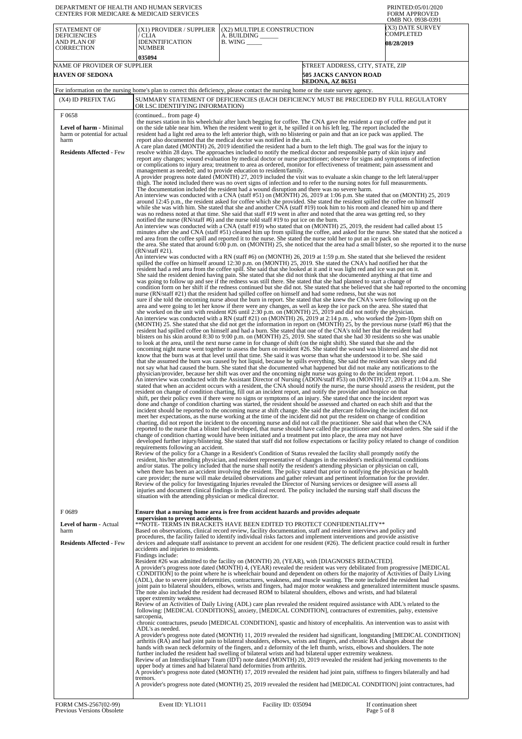| DEPARTMENT OF HEALTH AND HUMAN SERVICES<br><b>CENTERS FOR MEDICARE &amp; MEDICAID SERVICES</b> |                                                                                                                                                                                                                                                                                                                                                                                                                                                                                                                                                                                                                                                                                                                                                                                                                                                                                                                                                                                                                                                                                                                                                                                                                                                                                                                                                                                                                                                                                                                                                                                                                                                                                                                                                                                                                                                                                                                                                                                                                                                                                                                                                                                                                                                                                                                                                                                                                                                                                                                                                                                                                                                                                                                                                                                                                                                                                                                                                                                                                                                                                                                                                                                                                                                                                                                                                                                                                                                                                                                                                                                                                                                                                                                                                                                                                                                                                                                                                                                                                                                                                                                                                                                                                                                                                                                                                                                                                                                                                                                                                                                                                                                                                                                                                                                                                                                                                                                                                                                                                                                                                                                                                                                                                                                                                                                                                                                                                                                                                                                                                                                                                                                                                                                                                                                                                                                                                                                                                                                                                                                                                                                                                                                                                                                                                                                                                                                                                                                                                                                                                                                                                                                                                                                                                                  |                                                                                                                                                                                                                                                                                                                                                                                                                                                                                                                                                                                                                                                                                                                                                                                                                                                                                                                                                                      | PRINTED:05/01/2020<br><b>FORM APPROVED</b><br>OMB NO. 0938-0391                                                                                                                                                                                                                                                                                                                |
|------------------------------------------------------------------------------------------------|------------------------------------------------------------------------------------------------------------------------------------------------------------------------------------------------------------------------------------------------------------------------------------------------------------------------------------------------------------------------------------------------------------------------------------------------------------------------------------------------------------------------------------------------------------------------------------------------------------------------------------------------------------------------------------------------------------------------------------------------------------------------------------------------------------------------------------------------------------------------------------------------------------------------------------------------------------------------------------------------------------------------------------------------------------------------------------------------------------------------------------------------------------------------------------------------------------------------------------------------------------------------------------------------------------------------------------------------------------------------------------------------------------------------------------------------------------------------------------------------------------------------------------------------------------------------------------------------------------------------------------------------------------------------------------------------------------------------------------------------------------------------------------------------------------------------------------------------------------------------------------------------------------------------------------------------------------------------------------------------------------------------------------------------------------------------------------------------------------------------------------------------------------------------------------------------------------------------------------------------------------------------------------------------------------------------------------------------------------------------------------------------------------------------------------------------------------------------------------------------------------------------------------------------------------------------------------------------------------------------------------------------------------------------------------------------------------------------------------------------------------------------------------------------------------------------------------------------------------------------------------------------------------------------------------------------------------------------------------------------------------------------------------------------------------------------------------------------------------------------------------------------------------------------------------------------------------------------------------------------------------------------------------------------------------------------------------------------------------------------------------------------------------------------------------------------------------------------------------------------------------------------------------------------------------------------------------------------------------------------------------------------------------------------------------------------------------------------------------------------------------------------------------------------------------------------------------------------------------------------------------------------------------------------------------------------------------------------------------------------------------------------------------------------------------------------------------------------------------------------------------------------------------------------------------------------------------------------------------------------------------------------------------------------------------------------------------------------------------------------------------------------------------------------------------------------------------------------------------------------------------------------------------------------------------------------------------------------------------------------------------------------------------------------------------------------------------------------------------------------------------------------------------------------------------------------------------------------------------------------------------------------------------------------------------------------------------------------------------------------------------------------------------------------------------------------------------------------------------------------------------------------------------------------------------------------------------------------------------------------------------------------------------------------------------------------------------------------------------------------------------------------------------------------------------------------------------------------------------------------------------------------------------------------------------------------------------------------------------------------------------------------------------------------------------------------------------------------------------------------------------------------------------------------------------------------------------------------------------------------------------------------------------------------------------------------------------------------------------------------------------------------------------------------------------------------------------------------------------------------------------------------------------------------------------------------------------------------------------------------------------------------------------------------------------------------------------------------------------------------------------------------------------------------------------------------------------------------------------------------------------------------------------------------------------------------------------------------------------------------------------------------------------------------------------------------------------------------------------------------------------------|----------------------------------------------------------------------------------------------------------------------------------------------------------------------------------------------------------------------------------------------------------------------------------------------------------------------------------------------------------------------------------------------------------------------------------------------------------------------------------------------------------------------------------------------------------------------------------------------------------------------------------------------------------------------------------------------------------------------------------------------------------------------------------------------------------------------------------------------------------------------------------------------------------------------------------------------------------------------|--------------------------------------------------------------------------------------------------------------------------------------------------------------------------------------------------------------------------------------------------------------------------------------------------------------------------------------------------------------------------------|
| <b>STATEMENT OF</b><br><b>DEFICIENCIES</b><br>AND PLAN OF<br><b>CORRECTION</b>                 | (X1) PROVIDER / SUPPLIER<br>/ CLIA<br>IDENNTIFICATION<br>NUMBER<br>035094                                                                                                                                                                                                                                                                                                                                                                                                                                                                                                                                                                                                                                                                                                                                                                                                                                                                                                                                                                                                                                                                                                                                                                                                                                                                                                                                                                                                                                                                                                                                                                                                                                                                                                                                                                                                                                                                                                                                                                                                                                                                                                                                                                                                                                                                                                                                                                                                                                                                                                                                                                                                                                                                                                                                                                                                                                                                                                                                                                                                                                                                                                                                                                                                                                                                                                                                                                                                                                                                                                                                                                                                                                                                                                                                                                                                                                                                                                                                                                                                                                                                                                                                                                                                                                                                                                                                                                                                                                                                                                                                                                                                                                                                                                                                                                                                                                                                                                                                                                                                                                                                                                                                                                                                                                                                                                                                                                                                                                                                                                                                                                                                                                                                                                                                                                                                                                                                                                                                                                                                                                                                                                                                                                                                                                                                                                                                                                                                                                                                                                                                                                                                                                                                                        | (X2) MULTIPLE CONSTRUCTION<br>A. BUILDING _<br>$B.$ WING $\_\_\_\_\_\_\_\$                                                                                                                                                                                                                                                                                                                                                                                                                                                                                                                                                                                                                                                                                                                                                                                                                                                                                           | (X3) DATE SURVEY<br>COMPLETED<br><b>08/28/2019</b>                                                                                                                                                                                                                                                                                                                             |
| NAME OF PROVIDER OF SUPPLIER<br><b>HAVEN OF SEDONA</b>                                         |                                                                                                                                                                                                                                                                                                                                                                                                                                                                                                                                                                                                                                                                                                                                                                                                                                                                                                                                                                                                                                                                                                                                                                                                                                                                                                                                                                                                                                                                                                                                                                                                                                                                                                                                                                                                                                                                                                                                                                                                                                                                                                                                                                                                                                                                                                                                                                                                                                                                                                                                                                                                                                                                                                                                                                                                                                                                                                                                                                                                                                                                                                                                                                                                                                                                                                                                                                                                                                                                                                                                                                                                                                                                                                                                                                                                                                                                                                                                                                                                                                                                                                                                                                                                                                                                                                                                                                                                                                                                                                                                                                                                                                                                                                                                                                                                                                                                                                                                                                                                                                                                                                                                                                                                                                                                                                                                                                                                                                                                                                                                                                                                                                                                                                                                                                                                                                                                                                                                                                                                                                                                                                                                                                                                                                                                                                                                                                                                                                                                                                                                                                                                                                                                                                                                                                  | <b>505 JACKS CANYON ROAD</b><br><b>SEDONA, AZ 86351</b>                                                                                                                                                                                                                                                                                                                                                                                                                                                                                                                                                                                                                                                                                                                                                                                                                                                                                                              | STREET ADDRESS, CITY, STATE, ZIP                                                                                                                                                                                                                                                                                                                                               |
| (X4) ID PREFIX TAG                                                                             |                                                                                                                                                                                                                                                                                                                                                                                                                                                                                                                                                                                                                                                                                                                                                                                                                                                                                                                                                                                                                                                                                                                                                                                                                                                                                                                                                                                                                                                                                                                                                                                                                                                                                                                                                                                                                                                                                                                                                                                                                                                                                                                                                                                                                                                                                                                                                                                                                                                                                                                                                                                                                                                                                                                                                                                                                                                                                                                                                                                                                                                                                                                                                                                                                                                                                                                                                                                                                                                                                                                                                                                                                                                                                                                                                                                                                                                                                                                                                                                                                                                                                                                                                                                                                                                                                                                                                                                                                                                                                                                                                                                                                                                                                                                                                                                                                                                                                                                                                                                                                                                                                                                                                                                                                                                                                                                                                                                                                                                                                                                                                                                                                                                                                                                                                                                                                                                                                                                                                                                                                                                                                                                                                                                                                                                                                                                                                                                                                                                                                                                                                                                                                                                                                                                                                                  | For information on the nursing home's plan to correct this deficiency, please contact the nursing home or the state survey agency.<br>SUMMARY STATEMENT OF DEFICIENCIES (EACH DEFICIENCY MUST BE PRECEDED BY FULL REGULATORY                                                                                                                                                                                                                                                                                                                                                                                                                                                                                                                                                                                                                                                                                                                                         |                                                                                                                                                                                                                                                                                                                                                                                |
| F0658                                                                                          | OR LSC IDENTIFYING INFORMATION)<br>(continued from page 4)                                                                                                                                                                                                                                                                                                                                                                                                                                                                                                                                                                                                                                                                                                                                                                                                                                                                                                                                                                                                                                                                                                                                                                                                                                                                                                                                                                                                                                                                                                                                                                                                                                                                                                                                                                                                                                                                                                                                                                                                                                                                                                                                                                                                                                                                                                                                                                                                                                                                                                                                                                                                                                                                                                                                                                                                                                                                                                                                                                                                                                                                                                                                                                                                                                                                                                                                                                                                                                                                                                                                                                                                                                                                                                                                                                                                                                                                                                                                                                                                                                                                                                                                                                                                                                                                                                                                                                                                                                                                                                                                                                                                                                                                                                                                                                                                                                                                                                                                                                                                                                                                                                                                                                                                                                                                                                                                                                                                                                                                                                                                                                                                                                                                                                                                                                                                                                                                                                                                                                                                                                                                                                                                                                                                                                                                                                                                                                                                                                                                                                                                                                                                                                                                                                       |                                                                                                                                                                                                                                                                                                                                                                                                                                                                                                                                                                                                                                                                                                                                                                                                                                                                                                                                                                      |                                                                                                                                                                                                                                                                                                                                                                                |
| <b>Level of harm - Minimal</b><br>harm or potential for actual<br>harm                         |                                                                                                                                                                                                                                                                                                                                                                                                                                                                                                                                                                                                                                                                                                                                                                                                                                                                                                                                                                                                                                                                                                                                                                                                                                                                                                                                                                                                                                                                                                                                                                                                                                                                                                                                                                                                                                                                                                                                                                                                                                                                                                                                                                                                                                                                                                                                                                                                                                                                                                                                                                                                                                                                                                                                                                                                                                                                                                                                                                                                                                                                                                                                                                                                                                                                                                                                                                                                                                                                                                                                                                                                                                                                                                                                                                                                                                                                                                                                                                                                                                                                                                                                                                                                                                                                                                                                                                                                                                                                                                                                                                                                                                                                                                                                                                                                                                                                                                                                                                                                                                                                                                                                                                                                                                                                                                                                                                                                                                                                                                                                                                                                                                                                                                                                                                                                                                                                                                                                                                                                                                                                                                                                                                                                                                                                                                                                                                                                                                                                                                                                                                                                                                                                                                                                                                  | the nurses station in his wheelchair after lunch begging for coffee. The CNA gave the resident a cup of coffee and put it<br>on the side table near him. When the resident went to get it, he spilled it on his left leg. The report included the                                                                                                                                                                                                                                                                                                                                                                                                                                                                                                                                                                                                                                                                                                                    |                                                                                                                                                                                                                                                                                                                                                                                |
| <b>Residents Affected - Few</b>                                                                | resident had a light red area to the left anterior thigh, with no blistering or pain and that an ice pack was applied. The<br>report also documented that the medical doctor was notified in the a.m.<br>A care plan dated (MONTH) 26, 2019 identified the resident had a burn to the left thigh. The goal was for the injury to<br>resolve within 28 days. The approaches included to notify the medical doctor and responsible party of skin injury and<br>report any changes; wound evaluation by medical doctor or nurse practitioner; observe for signs and symptoms of infection<br>or complications to injury area; treatment to area as ordered, monitor for effectiveness of treatment; pain assessment and<br>management as needed; and to provide education to resident/family.<br>A provider progress note dated (MONTH) 27, 2019 included the visit was to evaluate a skin change to the left lateral/upper<br>thigh. The noted included there was no overt signs of infection and to refer to the nursing notes for full measurements.<br>The documentation included the resident had a wound disruption and there was no severe harm.<br>An interview was conducted with a CNA (staff #51) on (MONTH) 26, 2019 at 1:06 p.m. She stated that on (MONTH) 25, 2019<br>around 12:45 p.m., the resident asked for coffee which she provided. She stated the resident spilled the coffee on himself<br>while she was with him. She stated that she and another CNA (staff #19) took him to his room and cleaned him up and there<br>was no redness noted at that time. She said that staff #19 went in after and noted that the area was getting red, so they<br>notified the nurse $(RN/ + 6)$ and the nurse told staff #19 to put ice on the burn.<br>An interview was conducted with a CNA (staff #19) who stated that on (MONTH) 25, 2019, the resident had called about 15<br>minutes after she and CNA (staff #51) cleaned him up from spilling the coffee, and asked for the nurse. She stated that she noticed a<br>red area from the coffee spill and reported it to the nurse. She stated the nurse told her to put an ice pack on<br>the area. She stated that around 6:00 p.m. on (MONTH) 25, she noticed that the area had a small blister, so she reported it to the nurse<br>$(RN\text{/staff #21}).$<br>An interview was conducted with a RN (staff #6) on (MONTH) 26, 2019 at 1:59 p.m. She stated that she believed the resident<br>spilled the coffee on himself around 12:30 p.m. on (MONTH) 25, 2019. She stated the CNA's had notified her that the<br>resident had a red area from the coffee spill. She said that she looked at it and it was light red and ice was put on it.<br>She said the resident denied having pain. She stated that she did not think that she documented anything at that time and<br>was going to follow up and see if the redness was still there. She stated that she had planned to start a change of<br>condition form on her shift if the redness continued but she did not. She stated that she believed that she had reported to the oncoming<br>nurse (RN/staff #21) that the resident had spilled coffee on himself and had some redness, but she was not<br>sure if she told the oncoming nurse about the burn in report. She stated that she knew the CNA's were following up on the<br>area and were going to let her know if there were any changes, as well as keep the ice pack on the area. She stated that<br>she worked on the unit with resident #26 until 2:30 p.m. on (MONTH) 25, 2019 and did not notify the physician.<br>An interview was conducted with a RN (staff #21) on (MONTH) 26, 2019 at 2:14 p.m., who worked the 2pm-10pm shift on<br>(MONTH) 25. She stated that she did not get the information in report on (MONTH) 25, by the previous nurse (staff #6) that the<br>resident had spilled coffee on himself and had a burn. She stated that one of the CNA's told her that the resident had<br>blisters on his skin around 8:30 to 9:00 p.m. on (MONTH) 25, 2019. She stated that she had 30 residents so she was unable<br>to look at the area, until the next nurse came in for change of shift (on the night shift). She stated that she and the<br>oncoming night nurse went together to assess the burn on resident #26. She stated the wound was blistered and she did not<br>know that the burn was at that level until that time. She said it was worse than what she understood it to be. She said<br>that she assumed the burn was caused by hot liquid, because he spills everything. She said the resident was sleepy and did<br>not say what had caused the burn. She stated that she documented what happened but did not make any notifications to the<br>physician/provider, because her shift was over and the oncoming night nurse was going to do the incident report.<br>An interview was conducted with the Assistant Director of Nursing (ADON/staff #53) on (MONTH) 27, 2019 at 11:04 a.m. She<br>stated that when an accident occurs with a resident, the CNA should notify the nurse, the nurse should assess the resident, put the<br>resident on change of condition charting, fill out an incident report, and notify the provider and hospice on that<br>shift, per their policy even if there were no signs or symptoms of an injury. She stated that once the incident report was<br>done and change of condition charting was started, the resident should be assessed and charted on each shift and that the<br>incident should be reported to the oncoming nurse at shift change. She said the aftercare following the incident did not<br>meet her expectations, as the nurse working at the time of the incident did not put the resident on change of condition<br>charting, did not report the incident to the oncoming nurse and did not call the practitioner. She said that when the CNA<br>reported to the nurse that a blister had developed, that nurse should have called the practitioner and obtained orders. She said if the<br>change of condition charting would have been initiated and a treatment put into place, the area may not have<br>developed further injury/blistering. She stated that staff did not follow expectations or facility policy related to change of condition<br>requirements following an accident.<br>Review of the policy for a Change in a Resident's Condition of Status revealed the facility shall promptly notify the<br>resident, his/her attending physician, and resident representative of changes in the resident's medical/mental conditions<br>and/or status. The policy included that the nurse shall notify the resident's attending physician or physician on call, |                                                                                                                                                                                                                                                                                                                                                                                                                                                                                                                                                                                                                                                                                                                                                                                                                                                                                                                                                                      | when there has been an accident involving the resident. The policy stated that prior to notifying the physician or health<br>care provider; the nurse will make detailed observations and gather relevant and pertinent information for the provider.<br>Review of the policy for Investigating Injuries revealed the Director of Nursing services or designee will assess all |
|                                                                                                | situation with the attending physician or medical director.                                                                                                                                                                                                                                                                                                                                                                                                                                                                                                                                                                                                                                                                                                                                                                                                                                                                                                                                                                                                                                                                                                                                                                                                                                                                                                                                                                                                                                                                                                                                                                                                                                                                                                                                                                                                                                                                                                                                                                                                                                                                                                                                                                                                                                                                                                                                                                                                                                                                                                                                                                                                                                                                                                                                                                                                                                                                                                                                                                                                                                                                                                                                                                                                                                                                                                                                                                                                                                                                                                                                                                                                                                                                                                                                                                                                                                                                                                                                                                                                                                                                                                                                                                                                                                                                                                                                                                                                                                                                                                                                                                                                                                                                                                                                                                                                                                                                                                                                                                                                                                                                                                                                                                                                                                                                                                                                                                                                                                                                                                                                                                                                                                                                                                                                                                                                                                                                                                                                                                                                                                                                                                                                                                                                                                                                                                                                                                                                                                                                                                                                                                                                                                                                                                      | injuries and document clinical findings in the clinical record. The policy included the nursing staff shall discuss the                                                                                                                                                                                                                                                                                                                                                                                                                                                                                                                                                                                                                                                                                                                                                                                                                                              |                                                                                                                                                                                                                                                                                                                                                                                |
| F0689<br>Level of harm - Actual<br>harm<br><b>Residents Affected - Few</b>                     | supervision to prevent accidents.<br>accidents and injuries to residents.                                                                                                                                                                                                                                                                                                                                                                                                                                                                                                                                                                                                                                                                                                                                                                                                                                                                                                                                                                                                                                                                                                                                                                                                                                                                                                                                                                                                                                                                                                                                                                                                                                                                                                                                                                                                                                                                                                                                                                                                                                                                                                                                                                                                                                                                                                                                                                                                                                                                                                                                                                                                                                                                                                                                                                                                                                                                                                                                                                                                                                                                                                                                                                                                                                                                                                                                                                                                                                                                                                                                                                                                                                                                                                                                                                                                                                                                                                                                                                                                                                                                                                                                                                                                                                                                                                                                                                                                                                                                                                                                                                                                                                                                                                                                                                                                                                                                                                                                                                                                                                                                                                                                                                                                                                                                                                                                                                                                                                                                                                                                                                                                                                                                                                                                                                                                                                                                                                                                                                                                                                                                                                                                                                                                                                                                                                                                                                                                                                                                                                                                                                                                                                                                                        | Ensure that a nursing home area is free from accident hazards and provides adequate<br>**NOTE- TERMS IN BRACKETS HAVE BEEN EDITED TO PROTECT CONFIDENTIALITY**<br>Based on observations, clinical record review, facility documentation, staff and resident interviews and policy and<br>procedures, the facility failed to identify individual risks factors and implement interventions and provide assistive<br>devices and adequate staff assistance to prevent an accident for one resident (#26). The deficient practice could result in further                                                                                                                                                                                                                                                                                                                                                                                                               |                                                                                                                                                                                                                                                                                                                                                                                |
|                                                                                                | Findings include:<br>upper extremity weakness.                                                                                                                                                                                                                                                                                                                                                                                                                                                                                                                                                                                                                                                                                                                                                                                                                                                                                                                                                                                                                                                                                                                                                                                                                                                                                                                                                                                                                                                                                                                                                                                                                                                                                                                                                                                                                                                                                                                                                                                                                                                                                                                                                                                                                                                                                                                                                                                                                                                                                                                                                                                                                                                                                                                                                                                                                                                                                                                                                                                                                                                                                                                                                                                                                                                                                                                                                                                                                                                                                                                                                                                                                                                                                                                                                                                                                                                                                                                                                                                                                                                                                                                                                                                                                                                                                                                                                                                                                                                                                                                                                                                                                                                                                                                                                                                                                                                                                                                                                                                                                                                                                                                                                                                                                                                                                                                                                                                                                                                                                                                                                                                                                                                                                                                                                                                                                                                                                                                                                                                                                                                                                                                                                                                                                                                                                                                                                                                                                                                                                                                                                                                                                                                                                                                   | Resident #26 was admitted to the facility on (MONTH) 20, (YEAR), with [DIAGNOSES REDACTED].<br>A provider's progress note dated (MONTH) 4, (YEAR) revealed the resident was very debilitated from progressive [MEDICAL<br>CONDITION] to the point where he is wheelchair bound and dependent on others for the majority of Activities of Daily Living<br>(ADL), due to severe joint deformities, contractures, weakness, and muscle wasting. The note included the resident had<br>joint pain to bilateral shoulders, elbows, wrists and fingers, had major motor weakness and generalized intermittent muscle spasms.<br>The note also included the resident had decreased ROM to bilateral shoulders, elbows and wrists, and had bilateral                                                                                                                                                                                                                         |                                                                                                                                                                                                                                                                                                                                                                                |
|                                                                                                | sarcopenia.                                                                                                                                                                                                                                                                                                                                                                                                                                                                                                                                                                                                                                                                                                                                                                                                                                                                                                                                                                                                                                                                                                                                                                                                                                                                                                                                                                                                                                                                                                                                                                                                                                                                                                                                                                                                                                                                                                                                                                                                                                                                                                                                                                                                                                                                                                                                                                                                                                                                                                                                                                                                                                                                                                                                                                                                                                                                                                                                                                                                                                                                                                                                                                                                                                                                                                                                                                                                                                                                                                                                                                                                                                                                                                                                                                                                                                                                                                                                                                                                                                                                                                                                                                                                                                                                                                                                                                                                                                                                                                                                                                                                                                                                                                                                                                                                                                                                                                                                                                                                                                                                                                                                                                                                                                                                                                                                                                                                                                                                                                                                                                                                                                                                                                                                                                                                                                                                                                                                                                                                                                                                                                                                                                                                                                                                                                                                                                                                                                                                                                                                                                                                                                                                                                                                                      | Review of an Activities of Daily Living (ADL) care plan revealed the resident required assistance with ADL's related to the<br>following: [MEDICAL CONDITIONS], anxiety, [MEDICAL CONDITION], contractures of extremities, palsy, extensive                                                                                                                                                                                                                                                                                                                                                                                                                                                                                                                                                                                                                                                                                                                          |                                                                                                                                                                                                                                                                                                                                                                                |
|                                                                                                | ADL's as needed.<br>tremors.                                                                                                                                                                                                                                                                                                                                                                                                                                                                                                                                                                                                                                                                                                                                                                                                                                                                                                                                                                                                                                                                                                                                                                                                                                                                                                                                                                                                                                                                                                                                                                                                                                                                                                                                                                                                                                                                                                                                                                                                                                                                                                                                                                                                                                                                                                                                                                                                                                                                                                                                                                                                                                                                                                                                                                                                                                                                                                                                                                                                                                                                                                                                                                                                                                                                                                                                                                                                                                                                                                                                                                                                                                                                                                                                                                                                                                                                                                                                                                                                                                                                                                                                                                                                                                                                                                                                                                                                                                                                                                                                                                                                                                                                                                                                                                                                                                                                                                                                                                                                                                                                                                                                                                                                                                                                                                                                                                                                                                                                                                                                                                                                                                                                                                                                                                                                                                                                                                                                                                                                                                                                                                                                                                                                                                                                                                                                                                                                                                                                                                                                                                                                                                                                                                                                     | chronic contractures, pseudo [MEDICAL CONDITION], spastic and history of encephalitis. An intervention was to assist with<br>A provider's progress note dated (MONTH) 11, 2019 revealed the resident had significant, longstanding [MEDICAL CONDITION]<br>arthritis (RA) and had joint pain to bilateral shoulders, elbows, wrists and fingers, and chronic RA changes about the<br>hands with swan neck deformity of the fingers, and z deformity of the left thumb, wrists, elbows and shoulders. The note<br>further included the resident had swelling of bilateral wrists and had bilateral upper extremity weakness.<br>Review of an Interdisciplinary Team (IDT) note dated (MONTH) 20, 2019 revealed the resident had jerking movements to the<br>upper body at times and had bilateral hand deformities from arthritis.<br>A provider's progress note dated (MONTH) 17, 2019 revealed the resident had joint pain, stiffness to fingers bilaterally and had |                                                                                                                                                                                                                                                                                                                                                                                |
|                                                                                                |                                                                                                                                                                                                                                                                                                                                                                                                                                                                                                                                                                                                                                                                                                                                                                                                                                                                                                                                                                                                                                                                                                                                                                                                                                                                                                                                                                                                                                                                                                                                                                                                                                                                                                                                                                                                                                                                                                                                                                                                                                                                                                                                                                                                                                                                                                                                                                                                                                                                                                                                                                                                                                                                                                                                                                                                                                                                                                                                                                                                                                                                                                                                                                                                                                                                                                                                                                                                                                                                                                                                                                                                                                                                                                                                                                                                                                                                                                                                                                                                                                                                                                                                                                                                                                                                                                                                                                                                                                                                                                                                                                                                                                                                                                                                                                                                                                                                                                                                                                                                                                                                                                                                                                                                                                                                                                                                                                                                                                                                                                                                                                                                                                                                                                                                                                                                                                                                                                                                                                                                                                                                                                                                                                                                                                                                                                                                                                                                                                                                                                                                                                                                                                                                                                                                                                  | A provider's progress note dated (MONTH) 25, 2019 revealed the resident had [MEDICAL CONDITION] joint contractures, had                                                                                                                                                                                                                                                                                                                                                                                                                                                                                                                                                                                                                                                                                                                                                                                                                                              |                                                                                                                                                                                                                                                                                                                                                                                |
| FORM CMS-2567(02-99)<br>Previous Versions Obsolete                                             | Event ID: YL1011                                                                                                                                                                                                                                                                                                                                                                                                                                                                                                                                                                                                                                                                                                                                                                                                                                                                                                                                                                                                                                                                                                                                                                                                                                                                                                                                                                                                                                                                                                                                                                                                                                                                                                                                                                                                                                                                                                                                                                                                                                                                                                                                                                                                                                                                                                                                                                                                                                                                                                                                                                                                                                                                                                                                                                                                                                                                                                                                                                                                                                                                                                                                                                                                                                                                                                                                                                                                                                                                                                                                                                                                                                                                                                                                                                                                                                                                                                                                                                                                                                                                                                                                                                                                                                                                                                                                                                                                                                                                                                                                                                                                                                                                                                                                                                                                                                                                                                                                                                                                                                                                                                                                                                                                                                                                                                                                                                                                                                                                                                                                                                                                                                                                                                                                                                                                                                                                                                                                                                                                                                                                                                                                                                                                                                                                                                                                                                                                                                                                                                                                                                                                                                                                                                                                                 | Facility ID: 035094                                                                                                                                                                                                                                                                                                                                                                                                                                                                                                                                                                                                                                                                                                                                                                                                                                                                                                                                                  | If continuation sheet<br>Page 5 of 8                                                                                                                                                                                                                                                                                                                                           |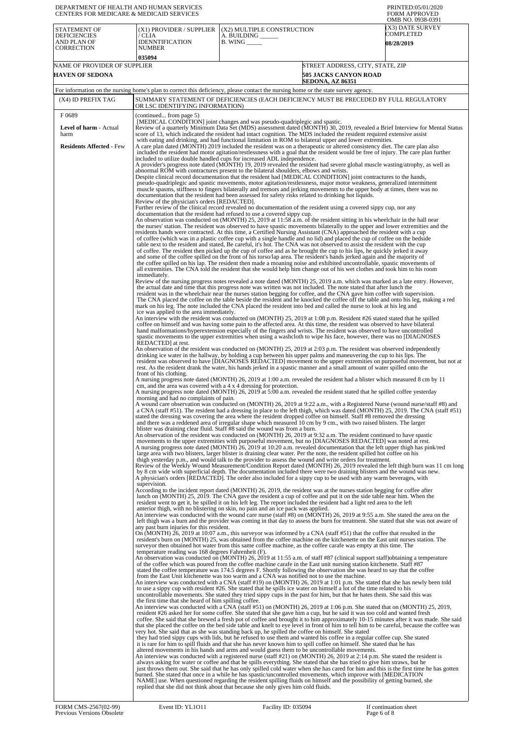| DEPARTMENT OF HEALTH AND HUMAN SERVICES<br>CENTERS FOR MEDICARE & MEDICAID SERVICES |                                                                                              |                                                                                                                                                                                                                                                                                                                                                                                                                                                                                                                                                                                                                                                                                                                                                                                                                                                                                                                                                                                                                                                                                                                                                                   | PRINTED:05/01/2020<br><b>FORM APPROVED</b>                                                                                                                                                                                                                                                                                                                                                                   |
|-------------------------------------------------------------------------------------|----------------------------------------------------------------------------------------------|-------------------------------------------------------------------------------------------------------------------------------------------------------------------------------------------------------------------------------------------------------------------------------------------------------------------------------------------------------------------------------------------------------------------------------------------------------------------------------------------------------------------------------------------------------------------------------------------------------------------------------------------------------------------------------------------------------------------------------------------------------------------------------------------------------------------------------------------------------------------------------------------------------------------------------------------------------------------------------------------------------------------------------------------------------------------------------------------------------------------------------------------------------------------|--------------------------------------------------------------------------------------------------------------------------------------------------------------------------------------------------------------------------------------------------------------------------------------------------------------------------------------------------------------------------------------------------------------|
| STATEMENT OF<br><b>DEFICIENCIES</b><br>AND PLAN OF<br><b>CORRECTION</b>             | (X1) PROVIDER / SUPPLIER<br>/ CLIA<br><b>IDENNTIFICATION</b><br><b>NUMBER</b>                | (X2) MULTIPLE CONSTRUCTION<br>A. BUILDING ______<br>$B.$ WING $\_\_\_\_\_\_\$                                                                                                                                                                                                                                                                                                                                                                                                                                                                                                                                                                                                                                                                                                                                                                                                                                                                                                                                                                                                                                                                                     | OMB NO. 0938-0391<br>(X3) DATE SURVEY<br>COMPLETED<br><b>08/28/2019</b>                                                                                                                                                                                                                                                                                                                                      |
|                                                                                     | 035094                                                                                       |                                                                                                                                                                                                                                                                                                                                                                                                                                                                                                                                                                                                                                                                                                                                                                                                                                                                                                                                                                                                                                                                                                                                                                   |                                                                                                                                                                                                                                                                                                                                                                                                              |
| NAME OF PROVIDER OF SUPPLIER<br><b>HAVEN OF SEDONA</b>                              |                                                                                              |                                                                                                                                                                                                                                                                                                                                                                                                                                                                                                                                                                                                                                                                                                                                                                                                                                                                                                                                                                                                                                                                                                                                                                   | STREET ADDRESS, CITY, STATE, ZIP<br><b>505 JACKS CANYON ROAD</b>                                                                                                                                                                                                                                                                                                                                             |
|                                                                                     |                                                                                              | <b>SEDONA, AZ 86351</b>                                                                                                                                                                                                                                                                                                                                                                                                                                                                                                                                                                                                                                                                                                                                                                                                                                                                                                                                                                                                                                                                                                                                           |                                                                                                                                                                                                                                                                                                                                                                                                              |
| (X4) ID PREFIX TAG                                                                  |                                                                                              | For information on the nursing home's plan to correct this deficiency, please contact the nursing home or the state survey agency.<br>SUMMARY STATEMENT OF DEFICIENCIES (EACH DEFICIENCY MUST BE PRECEDED BY FULL REGULATORY                                                                                                                                                                                                                                                                                                                                                                                                                                                                                                                                                                                                                                                                                                                                                                                                                                                                                                                                      |                                                                                                                                                                                                                                                                                                                                                                                                              |
| F0689                                                                               | OR LSC IDENTIFYING INFORMATION)                                                              |                                                                                                                                                                                                                                                                                                                                                                                                                                                                                                                                                                                                                                                                                                                                                                                                                                                                                                                                                                                                                                                                                                                                                                   |                                                                                                                                                                                                                                                                                                                                                                                                              |
| Level of harm - Actual                                                              | (continued from page 5)                                                                      | [MEDICAL CONDITION] joint changes and was pseudo-quadriplegic and spastic.                                                                                                                                                                                                                                                                                                                                                                                                                                                                                                                                                                                                                                                                                                                                                                                                                                                                                                                                                                                                                                                                                        | Review of a quarterly Minimum Data Set (MDS) assessment dated (MONTH) 30, 2019, revealed a Brief Interview for Mental Status                                                                                                                                                                                                                                                                                 |
| harm                                                                                |                                                                                              | score of 13, which indicated the resident had intact cognition. The MDS included the resident required extensive assist<br>with eating and drinking, and had functional limitation in ROM to bilateral upper and lower extremities.                                                                                                                                                                                                                                                                                                                                                                                                                                                                                                                                                                                                                                                                                                                                                                                                                                                                                                                               |                                                                                                                                                                                                                                                                                                                                                                                                              |
| <b>Residents Affected - Few</b>                                                     |                                                                                              | A care plan dated (MONTH) 2019 included the resident was on a therapeutic or altered consistency diet. The care plan also                                                                                                                                                                                                                                                                                                                                                                                                                                                                                                                                                                                                                                                                                                                                                                                                                                                                                                                                                                                                                                         | included the resident had motor agitation/restlessness with a goal that the resident would be free of injury. The care plan further                                                                                                                                                                                                                                                                          |
|                                                                                     |                                                                                              | included to utilize double handled cups for increased ADL independence.                                                                                                                                                                                                                                                                                                                                                                                                                                                                                                                                                                                                                                                                                                                                                                                                                                                                                                                                                                                                                                                                                           | A provider's progress note dated (MONTH) 19, 2019 revealed the resident had severe global muscle wasting/atrophy, as well as                                                                                                                                                                                                                                                                                 |
|                                                                                     |                                                                                              | abnormal ROM with contractures present to the bilateral shoulders, elbows and wrists.<br>Despite clinical record documentation that the resident had [MEDICAL CONDITION] joint contractures to the hands,                                                                                                                                                                                                                                                                                                                                                                                                                                                                                                                                                                                                                                                                                                                                                                                                                                                                                                                                                         |                                                                                                                                                                                                                                                                                                                                                                                                              |
|                                                                                     | Review of the physician's orders [REDACTED].                                                 | pseudo-quadriplegic and spastic movements, motor agitation/restlessness, major motor weakness, generalized intermittent<br>muscle spasms, stiffness to fingers bilaterally and tremors and jerking movements to the upper body at times, there was no<br>documentation that the resident had been assessed for safety risks related to drinking hot liquids.                                                                                                                                                                                                                                                                                                                                                                                                                                                                                                                                                                                                                                                                                                                                                                                                      |                                                                                                                                                                                                                                                                                                                                                                                                              |
|                                                                                     |                                                                                              | Further review of the clinical record revealed no documentation of the resident using a covered sippy cup, nor any<br>documentation that the resident had refused to use a covered sippy cup.                                                                                                                                                                                                                                                                                                                                                                                                                                                                                                                                                                                                                                                                                                                                                                                                                                                                                                                                                                     |                                                                                                                                                                                                                                                                                                                                                                                                              |
|                                                                                     |                                                                                              | An observation was conducted on (MONTH) 25, 2019 at 11:58 a.m. of the resident sitting in his wheelchair in the hall near<br>the nurses' station. The resident was observed to have spastic movements bilaterally to the upper and lower extremities and the<br>residents hands were contracted. At this time, a Certified Nursing Assistant (CNA) approached the resident with a cup<br>of coffee (which was in a plastic coffee cup with a single handle and no lid) and placed the cup of coffee on the bedside<br>table next to the resident and stated. Be careful, it's hot. The CNA was not observed to assist the resident with the cup<br>of coffee. The resident then picked up the cup of coffee and as he brought the cup to his lips, he quickly jerked it away<br>and some of the coffee spilled on the front of his torso/lap area. The resident's hands jerked again and the majority of<br>the coffee spilled on his lap. The resident then made a moaning noise and exhibited uncontrollable, spastic movements of<br>all extremities. The CNA told the resident that she would help him change out of his wet clothes and took him to his room |                                                                                                                                                                                                                                                                                                                                                                                                              |
|                                                                                     | immediately.                                                                                 |                                                                                                                                                                                                                                                                                                                                                                                                                                                                                                                                                                                                                                                                                                                                                                                                                                                                                                                                                                                                                                                                                                                                                                   | Review of the nursing progress notes revealed a note dated (MONTH) 25, 2019 a.m. which was marked as a late entry. However,                                                                                                                                                                                                                                                                                  |
|                                                                                     |                                                                                              | the actual date and time that this progress note was written was not included. The note stated that after lunch the<br>resident was in the wheelchair near the nurses station begging for coffee, and the CNA gave him coffee with supervision.                                                                                                                                                                                                                                                                                                                                                                                                                                                                                                                                                                                                                                                                                                                                                                                                                                                                                                                   |                                                                                                                                                                                                                                                                                                                                                                                                              |
|                                                                                     |                                                                                              | mark on his leg. The note included the CNA placed the resident into bed and called the nurse to look at his leg and                                                                                                                                                                                                                                                                                                                                                                                                                                                                                                                                                                                                                                                                                                                                                                                                                                                                                                                                                                                                                                               | The CNA placed the coffee on the table beside the resident and he knocked the coffee off the table and onto his leg, making a red                                                                                                                                                                                                                                                                            |
|                                                                                     | ice was applied to the area immediately.                                                     | An interview with the resident was conducted on (MONTH) 25, 2019 at 1:08 p.m. Resident #26 stated stated that he spilled<br>coffee on himself and was having some pain to the affected area. At this time, the resident was observed to have bilateral<br>hand malformations/hyperextension especially of the fingers and wrists. The resident was observed to have uncontrolled<br>spastic movements to the upper extremities when using a washcloth to wipe his face, however, there was no [DIAGNOSES]                                                                                                                                                                                                                                                                                                                                                                                                                                                                                                                                                                                                                                                         |                                                                                                                                                                                                                                                                                                                                                                                                              |
|                                                                                     | REDACTED] at rest.                                                                           | An observation of the resident was conducted on (MONTH) 25, 2019 at 2:03 p.m. The resident was observed independently<br>drinking ice water in the hallway, by holding a cup between his upper palms and maneuvering the cup to his lips. The<br>rest. As the resident drank the water, his hands jerked in a spastic manner and a small amount of water spilled onto the                                                                                                                                                                                                                                                                                                                                                                                                                                                                                                                                                                                                                                                                                                                                                                                         | resident was observed to have [DIAGNOSES REDACTED] movement to the upper extremities on purposeful movement, but not at                                                                                                                                                                                                                                                                                      |
|                                                                                     | front of his clothing.<br>cm, and the area was covered with a 4 x 4 dressing for protection. | A nursing progress note dated (MONTH) 26, 2019 at 1:00 a.m. revealed the resident had a blister which measured 8 cm by 11<br>A nursing progress note dated (MONTH) 26, 2019 at 5:00 a.m. revealed the resident stated that he spilled coffee yesterday                                                                                                                                                                                                                                                                                                                                                                                                                                                                                                                                                                                                                                                                                                                                                                                                                                                                                                            |                                                                                                                                                                                                                                                                                                                                                                                                              |
|                                                                                     | morning and had no complaints of pain.                                                       | stated the dressing was covering the area where the resident dropped coffee on himself. Staff #8 removed the dressing                                                                                                                                                                                                                                                                                                                                                                                                                                                                                                                                                                                                                                                                                                                                                                                                                                                                                                                                                                                                                                             | A wound care observation was conducted on (MONTH) 26, 2019 at 9:22 a.m., with a Registered Nurse (wound nurse/staff #8) and<br>a CNA (staff #51). The resident had a dressing in place to the left thigh, which was dated (MONTH) 25, 2019. The CNA (staff #51)                                                                                                                                              |
|                                                                                     |                                                                                              | and there was a reddened area of irregular shape which measured 10 cm by 9 cm., with two raised blisters. The larger<br>blister was draining clear fluid. Staff #8 said the wound was from a burn.<br>An observation of the resident was conducted on (MONTH) 26, 2019 at 9:32 a.m. The resident continued to have spastic<br>movements to the upper extremities with purposeful movement, but no [DIAGNOSES REDACTED] was noted at rest.                                                                                                                                                                                                                                                                                                                                                                                                                                                                                                                                                                                                                                                                                                                         |                                                                                                                                                                                                                                                                                                                                                                                                              |
|                                                                                     |                                                                                              | A nursing progress note dated (MONTH) 26, 2019 at 10:20 a.m. revealed documentation that the left upper thigh has pink/red<br>large area with two blisters, larger blister is draining clear water. Per the note, the resident spilled hot coffee on his<br>thigh yesterday p.m., and would talk to the provider to assess the wound and write orders for treatment.                                                                                                                                                                                                                                                                                                                                                                                                                                                                                                                                                                                                                                                                                                                                                                                              | Review of the Weekly Wound Measurement/Condition Report dated (MONTH) 26, 2019 revealed the left thigh burn was 11 cm long                                                                                                                                                                                                                                                                                   |
|                                                                                     | supervision.                                                                                 | by 8 cm wide with superficial depth. The documentation included there were two draining blisters and the wound was new.<br>A physician's orders [REDACTED]. The order also included for a sippy cup to be used with any warm beverages, with                                                                                                                                                                                                                                                                                                                                                                                                                                                                                                                                                                                                                                                                                                                                                                                                                                                                                                                      |                                                                                                                                                                                                                                                                                                                                                                                                              |
|                                                                                     |                                                                                              | According to the incident report dated (MONTH) 26, 2019, the resident was at the nurses station begging for coffee after<br>lunch on (MONTH) 25, 2019. The CNA gave the resident a cup of coffee and put it on the side table near him. When the<br>resident went to get it, he spilled it on his left leg. The report included the resident had a light red area to the left<br>anterior thigh, with no blistering on skin, no pain and an ice pack was applied.                                                                                                                                                                                                                                                                                                                                                                                                                                                                                                                                                                                                                                                                                                 | An interview was conducted with the wound care nurse (staff #8) on (MONTH) 26, 2019 at 9:55 a.m. She stated the area on the                                                                                                                                                                                                                                                                                  |
|                                                                                     | any past burn injuries for this resident.                                                    | On (MONTH) 26, 2019 at 10:07 a.m., this surveyor was informed by a CNA (staff #51) that the coffee that resulted in the<br>resident's burn on (MONTH) 25, was obtained from the coffee machine on the kitchenette on the East unit nurses station. The                                                                                                                                                                                                                                                                                                                                                                                                                                                                                                                                                                                                                                                                                                                                                                                                                                                                                                            | left thigh was a burn and the provider was coming in that day to assess the burn for treatment. She stated that she was not aware of                                                                                                                                                                                                                                                                         |
|                                                                                     | temperature reading was 168 degrees Fahrenheit (F).                                          | surveyor then obtained hot water from this same coffee machine, as the coffee carafe was empty at this time. The<br>An observation was conducted on (MONTH) 26, 2019 at 11:55 a.m. of staff #87 (clinical support staff) obtaining a temperature<br>of the coffee which was poured from the coffee machine carafe in the East unit nursing station kitchenette. Staff #87<br>stated the coffee temperature was 174.5 degrees F. Shortly following the observation she was heard to say that the coffee                                                                                                                                                                                                                                                                                                                                                                                                                                                                                                                                                                                                                                                            |                                                                                                                                                                                                                                                                                                                                                                                                              |
|                                                                                     |                                                                                              | from the East Unit kitchenette was too warm and a CNA was notified not to use the machine.<br>to use a sippy cup with resident #26. She stated that he spills ice water on himself a lot of the time related to his<br>uncontrollable movements. She stated they tried sippy cups in the past for him, but that he hates them. She said this was                                                                                                                                                                                                                                                                                                                                                                                                                                                                                                                                                                                                                                                                                                                                                                                                                  | An interview was conducted with a CNA (staff #19) on (MONTH) 26, 2019 at 1:01 p.m. She stated that she has newly been told                                                                                                                                                                                                                                                                                   |
|                                                                                     | the first time that she heard of him spilling coffee.                                        | resident #26 asked her for some coffee. She stated that she gave him a cup, but he said it was too cold and wanted fresh<br>very hot. She said that as she was standing back up, he spilled the coffee on himself. She stated<br>they had tried sippy cups with lids, but he refused to use them and wanted his coffee in a regular coffee cup. She stated<br>it is rare for him to spill fluids and that she has never known him to spill coffee on himself. She stated that he has<br>altered movements in his hands and arms and would guess them to be uncontrollable movements.<br>An interview was conducted with a registered nurse (staff #21) on (MONTH) 26, 2019 at 2:14 p.m. She stated the resident is                                                                                                                                                                                                                                                                                                                                                                                                                                                | An interview was conducted with a CNA (staff #51) on (MONTH) 26, 2019 at 1:06 p.m. She stated that on (MONTH) 25, 2019,<br>coffee. She said that she brewed a fresh pot of coffee and brought it to him approximately 10-15 minutes after it was made. She said<br>that she placed the coffee on the bed side table and knelt to eye level in front of him to tell him to be careful, because the coffee was |
|                                                                                     |                                                                                              | always asking for water or coffee and that he spills everything. She stated that she has tried to give him straws, but he<br>burned. She stated that once in a while he has spastic/uncontrolled movements, which improve with [MEDICATION<br>NAME] use. When questioned regarding the resident spilling fluids on himself and the possibility of getting burned, she<br>replied that she did not think about that because she only gives him cold fluids.                                                                                                                                                                                                                                                                                                                                                                                                                                                                                                                                                                                                                                                                                                        | just throws them out. She said that he has only spilled cold water when she has cared for him and this is the first time he has gotten                                                                                                                                                                                                                                                                       |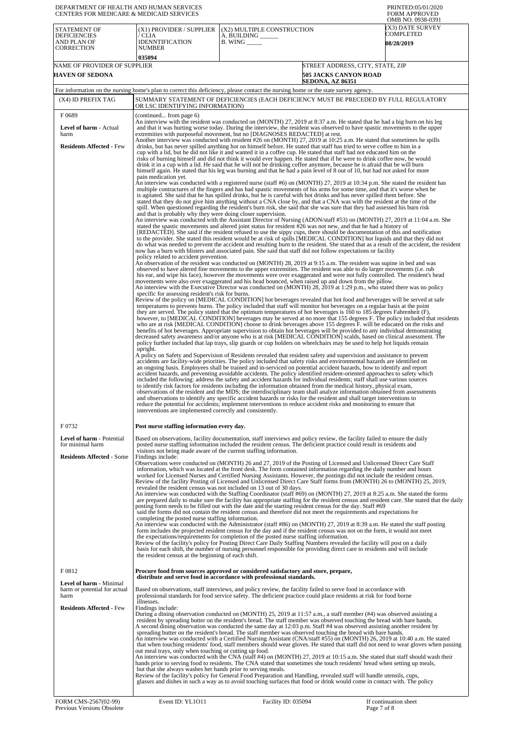| DEPARTMENT OF HEALTH AND HUMAN SERVICES<br>CENTERS FOR MEDICARE & MEDICAID SERVICES |                                                                                                                                                                                                                                                              |                                                                                                                                                                                                                                                                                                                                                                                                                                                                                                                                                                                                                                                                                                                                                                                                                                                                                                                                                                                                                                                                                                                                                                                                                                                                                                                                                                                                                                                                                                                                                                                                                                                                                                                                                                                                                                                                                                                                                                                                                                                                                                                                                                                                                                                                                                                                                                                                                                                                                                                                                                                                                                                                                                                                                                                                                                                                                                                                                                                                                                                                                                                                                                                                                                                                                                                                                                                                                                                                                                                                                                                                                                                                                                                                                                                                                                                                                                                                                                                                                                                                                                                                                                                                                                                                                                                                                                                                                                                                                                                                                                                           | PRINTED:05/01/2020<br><b>FORM APPROVED</b><br>OMB NO. 0938-0391                                                                                                                                                                                                       |
|-------------------------------------------------------------------------------------|--------------------------------------------------------------------------------------------------------------------------------------------------------------------------------------------------------------------------------------------------------------|-------------------------------------------------------------------------------------------------------------------------------------------------------------------------------------------------------------------------------------------------------------------------------------------------------------------------------------------------------------------------------------------------------------------------------------------------------------------------------------------------------------------------------------------------------------------------------------------------------------------------------------------------------------------------------------------------------------------------------------------------------------------------------------------------------------------------------------------------------------------------------------------------------------------------------------------------------------------------------------------------------------------------------------------------------------------------------------------------------------------------------------------------------------------------------------------------------------------------------------------------------------------------------------------------------------------------------------------------------------------------------------------------------------------------------------------------------------------------------------------------------------------------------------------------------------------------------------------------------------------------------------------------------------------------------------------------------------------------------------------------------------------------------------------------------------------------------------------------------------------------------------------------------------------------------------------------------------------------------------------------------------------------------------------------------------------------------------------------------------------------------------------------------------------------------------------------------------------------------------------------------------------------------------------------------------------------------------------------------------------------------------------------------------------------------------------------------------------------------------------------------------------------------------------------------------------------------------------------------------------------------------------------------------------------------------------------------------------------------------------------------------------------------------------------------------------------------------------------------------------------------------------------------------------------------------------------------------------------------------------------------------------------------------------------------------------------------------------------------------------------------------------------------------------------------------------------------------------------------------------------------------------------------------------------------------------------------------------------------------------------------------------------------------------------------------------------------------------------------------------------------------------------------------------------------------------------------------------------------------------------------------------------------------------------------------------------------------------------------------------------------------------------------------------------------------------------------------------------------------------------------------------------------------------------------------------------------------------------------------------------------------------------------------------------------------------------------------------------------------------------------------------------------------------------------------------------------------------------------------------------------------------------------------------------------------------------------------------------------------------------------------------------------------------------------------------------------------------------------------------------------------------------------------------------------------------------------------------|-----------------------------------------------------------------------------------------------------------------------------------------------------------------------------------------------------------------------------------------------------------------------|
| <b>STATEMENT OF</b><br><b>DEFICIENCIES</b><br>AND PLAN OF<br><b>CORRECTION</b>      | (X1) PROVIDER / SUPPLIER<br>/ CLIA<br><b>IDENNTIFICATION</b><br>NUMBER<br>035094                                                                                                                                                                             | (X2) MULTIPLE CONSTRUCTION<br>A. BUILDING ______<br>$B.$ WING $\_\_\_\_\_\_\$                                                                                                                                                                                                                                                                                                                                                                                                                                                                                                                                                                                                                                                                                                                                                                                                                                                                                                                                                                                                                                                                                                                                                                                                                                                                                                                                                                                                                                                                                                                                                                                                                                                                                                                                                                                                                                                                                                                                                                                                                                                                                                                                                                                                                                                                                                                                                                                                                                                                                                                                                                                                                                                                                                                                                                                                                                                                                                                                                                                                                                                                                                                                                                                                                                                                                                                                                                                                                                                                                                                                                                                                                                                                                                                                                                                                                                                                                                                                                                                                                                                                                                                                                                                                                                                                                                                                                                                                                                                                                                             | (X3) DATE SURVEY<br>COMPLETED<br><b>08/28/2019</b>                                                                                                                                                                                                                    |
| NAME OF PROVIDER OF SUPPLIER                                                        |                                                                                                                                                                                                                                                              |                                                                                                                                                                                                                                                                                                                                                                                                                                                                                                                                                                                                                                                                                                                                                                                                                                                                                                                                                                                                                                                                                                                                                                                                                                                                                                                                                                                                                                                                                                                                                                                                                                                                                                                                                                                                                                                                                                                                                                                                                                                                                                                                                                                                                                                                                                                                                                                                                                                                                                                                                                                                                                                                                                                                                                                                                                                                                                                                                                                                                                                                                                                                                                                                                                                                                                                                                                                                                                                                                                                                                                                                                                                                                                                                                                                                                                                                                                                                                                                                                                                                                                                                                                                                                                                                                                                                                                                                                                                                                                                                                                                           | STREET ADDRESS, CITY, STATE, ZIP                                                                                                                                                                                                                                      |
| <b>HAVEN OF SEDONA</b>                                                              |                                                                                                                                                                                                                                                              | SEDONA, AZ 86351                                                                                                                                                                                                                                                                                                                                                                                                                                                                                                                                                                                                                                                                                                                                                                                                                                                                                                                                                                                                                                                                                                                                                                                                                                                                                                                                                                                                                                                                                                                                                                                                                                                                                                                                                                                                                                                                                                                                                                                                                                                                                                                                                                                                                                                                                                                                                                                                                                                                                                                                                                                                                                                                                                                                                                                                                                                                                                                                                                                                                                                                                                                                                                                                                                                                                                                                                                                                                                                                                                                                                                                                                                                                                                                                                                                                                                                                                                                                                                                                                                                                                                                                                                                                                                                                                                                                                                                                                                                                                                                                                                          | <b>505 JACKS CANYON ROAD</b>                                                                                                                                                                                                                                          |
|                                                                                     |                                                                                                                                                                                                                                                              | For information on the nursing home's plan to correct this deficiency, please contact the nursing home or the state survey agency.                                                                                                                                                                                                                                                                                                                                                                                                                                                                                                                                                                                                                                                                                                                                                                                                                                                                                                                                                                                                                                                                                                                                                                                                                                                                                                                                                                                                                                                                                                                                                                                                                                                                                                                                                                                                                                                                                                                                                                                                                                                                                                                                                                                                                                                                                                                                                                                                                                                                                                                                                                                                                                                                                                                                                                                                                                                                                                                                                                                                                                                                                                                                                                                                                                                                                                                                                                                                                                                                                                                                                                                                                                                                                                                                                                                                                                                                                                                                                                                                                                                                                                                                                                                                                                                                                                                                                                                                                                                        |                                                                                                                                                                                                                                                                       |
| (X4) ID PREFIX TAG                                                                  | OR LSC IDENTIFYING INFORMATION)                                                                                                                                                                                                                              | SUMMARY STATEMENT OF DEFICIENCIES (EACH DEFICIENCY MUST BE PRECEDED BY FULL REGULATORY                                                                                                                                                                                                                                                                                                                                                                                                                                                                                                                                                                                                                                                                                                                                                                                                                                                                                                                                                                                                                                                                                                                                                                                                                                                                                                                                                                                                                                                                                                                                                                                                                                                                                                                                                                                                                                                                                                                                                                                                                                                                                                                                                                                                                                                                                                                                                                                                                                                                                                                                                                                                                                                                                                                                                                                                                                                                                                                                                                                                                                                                                                                                                                                                                                                                                                                                                                                                                                                                                                                                                                                                                                                                                                                                                                                                                                                                                                                                                                                                                                                                                                                                                                                                                                                                                                                                                                                                                                                                                                    |                                                                                                                                                                                                                                                                       |
| F0689                                                                               | (continued from page 6)                                                                                                                                                                                                                                      |                                                                                                                                                                                                                                                                                                                                                                                                                                                                                                                                                                                                                                                                                                                                                                                                                                                                                                                                                                                                                                                                                                                                                                                                                                                                                                                                                                                                                                                                                                                                                                                                                                                                                                                                                                                                                                                                                                                                                                                                                                                                                                                                                                                                                                                                                                                                                                                                                                                                                                                                                                                                                                                                                                                                                                                                                                                                                                                                                                                                                                                                                                                                                                                                                                                                                                                                                                                                                                                                                                                                                                                                                                                                                                                                                                                                                                                                                                                                                                                                                                                                                                                                                                                                                                                                                                                                                                                                                                                                                                                                                                                           |                                                                                                                                                                                                                                                                       |
| Level of harm - Actual<br>harm                                                      |                                                                                                                                                                                                                                                              | An interview with the resident was conducted on (MONTH) 27, 2019 at 8:37 a.m. He stated that he had a big burn on his leg<br>and that it was hurting worse today. During the interview, the resident was observed to have spastic movements to the upper<br>extremities with purposeful movement, but no [DIAGNOSES REDACTED] at rest.<br>Another interview was conducted with resident #26 on (MONTH) 27, 2019 at 10:25 a.m. He stated that sometimes he spills                                                                                                                                                                                                                                                                                                                                                                                                                                                                                                                                                                                                                                                                                                                                                                                                                                                                                                                                                                                                                                                                                                                                                                                                                                                                                                                                                                                                                                                                                                                                                                                                                                                                                                                                                                                                                                                                                                                                                                                                                                                                                                                                                                                                                                                                                                                                                                                                                                                                                                                                                                                                                                                                                                                                                                                                                                                                                                                                                                                                                                                                                                                                                                                                                                                                                                                                                                                                                                                                                                                                                                                                                                                                                                                                                                                                                                                                                                                                                                                                                                                                                                                          |                                                                                                                                                                                                                                                                       |
| <b>Residents Affected - Few</b>                                                     | pain medication yet.<br>and that is probably why they were doing closer supervision.<br>policy related to accident prevention.<br>specific for assessing resident's risk for burns.<br>upright.<br>interventions are implemented correctly and consistently. | drinks, but has never spilled anything hot on himself before. He stated that staff has tried to serve coffee to him in a<br>cup with a lid, but he did not like it and wanted it in a coffee cup. He stated that staff had not educated him on the<br>risks of burning himself and did not think it would ever happen. He stated that if he were to drink coffee now, he would<br>drink it in a cup with a lid. He said that he will not be drinking coffee anymore, because he is afraid that he will burn<br>himself again. He stated that his leg was burning and that he had a pain level of 8 out of 10, but had not asked for more<br>An interview was conducted with a registered nurse (staff #6) on (MONTH) 27, 2019 at 10:34 p.m. She stated the resident has<br>multiple contractures of the fingers and has had spastic movements of his arms for some time, and that it's worse when he<br>is agitated. She said that he has spilled drinks, but he is careful with hot drinks and has never spilled them before. She<br>stated that they do not give him anything without a CNA close by, and that a CNA was with the resident at the time of the<br>spill. When questioned regarding the resident's burn risk, she said that she was sure that they had assessed his burn risk<br>An interview was conducted with the Assistant Director of Nursing (ADON/staff #53) on (MONTH) 27, 2019 at 11:04 a.m. She<br>stated the spastic movements and altered joint status for resident #26 was not new, and that he had a history of<br>[REDACTED]. She said if the resident refused to use the sippy cups, there should be documentation of this and notification<br>to the provider. She stated this resident would be at risk of spills [MEDICAL CONDITION] hot liquids and that they did not<br>now has a burn with blisters and associated pain. She said that staff did not follow expectations or facility<br>An observation of the resident was conducted on (MONTH) 28, 2019 at 9:15 a.m. The resident was supine in bed and was<br>observed to have altered fine movements to the upper extremities. The resident was able to do larger movements (i.e. rub<br>his ear, and wipe his face), however the movements were over exaggerated and were not fully controlled. The resident's head<br>movements were also over exaggerated and his head bounced, when raised up and down from the pillow.<br>An interview with the Executive Director was conducted on (MONTH) 28, 2019 at 1:29 p.m., who stated there was no policy<br>Review of the policy on [MEDICAL CONDITION] hot beverages revealed that hot food and beverages will be served at safe<br>temperatures to prevents burns. The policy included that staff will monitor hot beverages on a regular basis at the point<br>they are served. The policy stated that the optimum temperatures of hot beverages is 160 to 185 degrees Fahrenheit (F),<br>who are at risk [MEDICAL CONDITION] choose to drink beverages above 155 degrees F. will be educated on the risks and<br>benefits of hot beverages. Appropriate supervision to obtain hot beverages will be provided to any individual demonstrating<br>decreased safety awareness and/or anyone who is at risk [MEDICAL CONDITION] scalds, based on clinical assessment. The<br>policy further included that lap trays, slip guards or cup holders on wheelchairs may be used to help hot liquids remain<br>A policy on Safety and Supervision of Residents revealed that resident safety and supervision and assistance to prevent<br>accidents are facility-wide priorities. The policy included that safety risks and environmental hazards are identified on<br>an ongoing basis. Employees shall be trained and in-serviced on potential accident hazards, how to identify and report<br>accident hazards, and preventing avoidable accidents. The policy identified resident-oriented approaches to safety which<br>included the following: address the safety and accident hazards for individual residents; staff shall use various sources<br>to identify risk factors for residents including the information obtained from the medical history, physical exam,<br>observations of the resident and the MDS; the interdisciplinary team shall analyze information obtained from assessments<br>and observations to identify any specific accident hazards or risks for the resident and shall target interventions to<br>reduce the potential for accidents; implement interventions to reduce accident risks and monitoring to ensure that | do what was needed to prevent the accident and resulting burn to the resident. She stated that as a result of the accident, the resident<br>however, to [MEDICAL CONDITION] beverages may be served at no more that 155 degrees F. The policy included that residents |
|                                                                                     |                                                                                                                                                                                                                                                              |                                                                                                                                                                                                                                                                                                                                                                                                                                                                                                                                                                                                                                                                                                                                                                                                                                                                                                                                                                                                                                                                                                                                                                                                                                                                                                                                                                                                                                                                                                                                                                                                                                                                                                                                                                                                                                                                                                                                                                                                                                                                                                                                                                                                                                                                                                                                                                                                                                                                                                                                                                                                                                                                                                                                                                                                                                                                                                                                                                                                                                                                                                                                                                                                                                                                                                                                                                                                                                                                                                                                                                                                                                                                                                                                                                                                                                                                                                                                                                                                                                                                                                                                                                                                                                                                                                                                                                                                                                                                                                                                                                                           |                                                                                                                                                                                                                                                                       |
| F0732                                                                               | Post nurse staffing information every day.                                                                                                                                                                                                                   |                                                                                                                                                                                                                                                                                                                                                                                                                                                                                                                                                                                                                                                                                                                                                                                                                                                                                                                                                                                                                                                                                                                                                                                                                                                                                                                                                                                                                                                                                                                                                                                                                                                                                                                                                                                                                                                                                                                                                                                                                                                                                                                                                                                                                                                                                                                                                                                                                                                                                                                                                                                                                                                                                                                                                                                                                                                                                                                                                                                                                                                                                                                                                                                                                                                                                                                                                                                                                                                                                                                                                                                                                                                                                                                                                                                                                                                                                                                                                                                                                                                                                                                                                                                                                                                                                                                                                                                                                                                                                                                                                                                           |                                                                                                                                                                                                                                                                       |
| Level of harm - Potential<br>for minimal harm<br><b>Residents Affected - Some</b>   | visitors not being made aware of the current staffing information.<br>Findings include:                                                                                                                                                                      | Based on observations, facility documentation, staff interviews and policy review, the facility failed to ensure the daily<br>posted nurse staffing information included the resident census. The deficient practice could result in residents and                                                                                                                                                                                                                                                                                                                                                                                                                                                                                                                                                                                                                                                                                                                                                                                                                                                                                                                                                                                                                                                                                                                                                                                                                                                                                                                                                                                                                                                                                                                                                                                                                                                                                                                                                                                                                                                                                                                                                                                                                                                                                                                                                                                                                                                                                                                                                                                                                                                                                                                                                                                                                                                                                                                                                                                                                                                                                                                                                                                                                                                                                                                                                                                                                                                                                                                                                                                                                                                                                                                                                                                                                                                                                                                                                                                                                                                                                                                                                                                                                                                                                                                                                                                                                                                                                                                                        |                                                                                                                                                                                                                                                                       |
|                                                                                     | completing the posted nurse staffing information.<br>the resident census at the beginning of each shift.                                                                                                                                                     | Observations were conducted on (MONTH) 26 and 27, 2019 of the Posting of Licensed and Unlicensed Direct Care Staff<br>information, which was located at the front desk. The form contained information regarding the daily number and hours<br>worked for Licensed Nurses and Certified Nursing Assistants. However, the postings did not include the resident census.<br>Review of the facility Posting of Licensed and Unlicensed Direct Care Staff forms from (MONTH) 26 to (MONTH) 25, 2019,<br>revealed the resident census was not included on 13 out of 30 days.<br>An interview was conducted with the Staffing Coordinator (staff #69) on (MONTH) 27, 2019 at 8:25 a.m. She stated the forms<br>posting form needs to be filled out with the date and the starting resident census for the day. Staff #69<br>said the forms did not contain the resident census and therefore did not meet the requirements and expectations for<br>An interview was conducted with the Administrator (staff #86) on (MONTH) 27, 2019 at 8:39 a.m. He stated the staff posting<br>form includes the projected resident census for the day and if the resident census was not on the form, it would not meet<br>the expectations/requirements for completion of the posted nurse staffing information.<br>Review of the facility's policy for Posting Direct Care Daily Staffing Numbers revealed the facility will post on a daily<br>basis for each shift, the number of nursing personnel responsible for providing direct care to residents and will include                                                                                                                                                                                                                                                                                                                                                                                                                                                                                                                                                                                                                                                                                                                                                                                                                                                                                                                                                                                                                                                                                                                                                                                                                                                                                                                                                                                                                                                                                                                                                                                                                                                                                                                                                                                                                                                                                                                                                                                                                                                                                                                                                                                                                                                                                                                                                                                                                                                                                                                                                                                                                                                                                                                                                                                                                                                                                                                                                                                                                                  | are prepared daily to make sure the facility has appropriate staffing for the resident census and resident care. She stated that the daily                                                                                                                            |
| F0812<br>Level of harm - Minimal                                                    |                                                                                                                                                                                                                                                              | Procure food from sources approved or considered satisfactory and store, prepare,<br>distribute and serve food in accordance with professional standards.                                                                                                                                                                                                                                                                                                                                                                                                                                                                                                                                                                                                                                                                                                                                                                                                                                                                                                                                                                                                                                                                                                                                                                                                                                                                                                                                                                                                                                                                                                                                                                                                                                                                                                                                                                                                                                                                                                                                                                                                                                                                                                                                                                                                                                                                                                                                                                                                                                                                                                                                                                                                                                                                                                                                                                                                                                                                                                                                                                                                                                                                                                                                                                                                                                                                                                                                                                                                                                                                                                                                                                                                                                                                                                                                                                                                                                                                                                                                                                                                                                                                                                                                                                                                                                                                                                                                                                                                                                 |                                                                                                                                                                                                                                                                       |
| harm or potential for actual<br>harm                                                |                                                                                                                                                                                                                                                              | Based on observations, staff interviews, and policy review, the facility failed to serve food in accordance with<br>professional standards for food service safety. The deficient practice could place residents at risk for food borne                                                                                                                                                                                                                                                                                                                                                                                                                                                                                                                                                                                                                                                                                                                                                                                                                                                                                                                                                                                                                                                                                                                                                                                                                                                                                                                                                                                                                                                                                                                                                                                                                                                                                                                                                                                                                                                                                                                                                                                                                                                                                                                                                                                                                                                                                                                                                                                                                                                                                                                                                                                                                                                                                                                                                                                                                                                                                                                                                                                                                                                                                                                                                                                                                                                                                                                                                                                                                                                                                                                                                                                                                                                                                                                                                                                                                                                                                                                                                                                                                                                                                                                                                                                                                                                                                                                                                   |                                                                                                                                                                                                                                                                       |
| <b>Residents Affected - Few</b>                                                     | illnesses.<br>Findings include:<br>out meal trays, only when touching or cutting up food.<br>but that she always washes her hands prior to serving meals.                                                                                                    | During a dining observation conducted on (MONTH) 25, 2019 at 11:57 a.m., a staff member (#4) was observed assisting a<br>resident by spreading butter on the resident's bread. The staff member was observed touching the bread with bare hands.<br>A second dining observation was conducted the same day at 12:03 p.m. Staff #4 was observed assisting another resident by<br>spreading butter on the resident's bread. The staff member was observed touching the bread with bare hands.<br>An interview was conducted with a Certified Nursing Assistant (CNA/staff #55) on (MONTH) 26, 2019 at 10:40 a.m. He stated<br>An interview was conducted with the CNA (staff #4) on (MONTH) 27, 2019 at 10:15 a.m. She stated that staff should wash their<br>hands prior to serving food to residents. The CNA stated that sometimes she touch residents' bread when setting up meals,<br>Review of the facility's policy for General Food Preparation and Handling, revealed staff will handle utensils, cups,<br>glasses and dishes in such a way as to avoid touching surfaces that food or drink would come in contact with. The policy                                                                                                                                                                                                                                                                                                                                                                                                                                                                                                                                                                                                                                                                                                                                                                                                                                                                                                                                                                                                                                                                                                                                                                                                                                                                                                                                                                                                                                                                                                                                                                                                                                                                                                                                                                                                                                                                                                                                                                                                                                                                                                                                                                                                                                                                                                                                                                                                                                                                                                                                                                                                                                                                                                                                                                                                                                                                                                                                                                                                                                                                                                                                                                                                                                                                                                                                                                                                                                                | that when touching residents' food, staff members should wear gloves. He stated that staff did not need to wear gloves when passing                                                                                                                                   |
| FORM CMS-2567(02-99)                                                                | Event ID: YL1011                                                                                                                                                                                                                                             | Facility ID: 035094                                                                                                                                                                                                                                                                                                                                                                                                                                                                                                                                                                                                                                                                                                                                                                                                                                                                                                                                                                                                                                                                                                                                                                                                                                                                                                                                                                                                                                                                                                                                                                                                                                                                                                                                                                                                                                                                                                                                                                                                                                                                                                                                                                                                                                                                                                                                                                                                                                                                                                                                                                                                                                                                                                                                                                                                                                                                                                                                                                                                                                                                                                                                                                                                                                                                                                                                                                                                                                                                                                                                                                                                                                                                                                                                                                                                                                                                                                                                                                                                                                                                                                                                                                                                                                                                                                                                                                                                                                                                                                                                                                       | If continuation sheet                                                                                                                                                                                                                                                 |